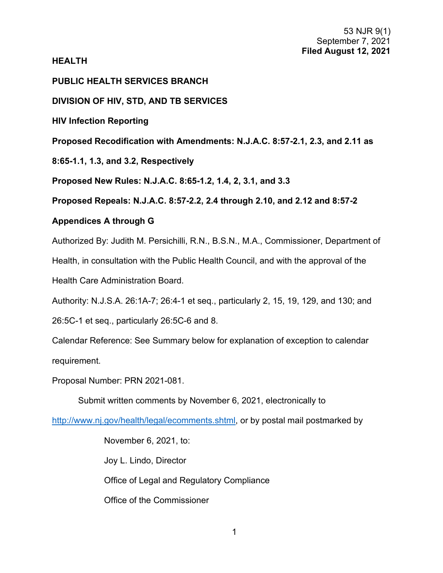# **HEALTH**

# **PUBLIC HEALTH SERVICES BRANCH**

# **DIVISION OF HIV, STD, AND TB SERVICES**

**HIV Infection Reporting**

**Proposed Recodification with Amendments: N.J.A.C. 8:57-2.1, 2.3, and 2.11 as** 

**8:65-1.1, 1.3, and 3.2, Respectively**

**Proposed New Rules: N.J.A.C. 8:65-1.2, 1.4, 2, 3.1, and 3.3** 

**Proposed Repeals: N.J.A.C. 8:57-2.2, 2.4 through 2.10, and 2.12 and 8:57-2** 

# **Appendices A through G**

Authorized By: Judith M. Persichilli, R.N., B.S.N., M.A., Commissioner, Department of Health, in consultation with the Public Health Council, and with the approval of the Health Care Administration Board.

Authority: N.J.S.A. 26:1A-7; 26:4-1 et seq., particularly 2, 15, 19, 129, and 130; and

26:5C-1 et seq., particularly 26:5C-6 and 8.

Calendar Reference: See Summary below for explanation of exception to calendar requirement.

Proposal Number: PRN 2021-081.

Submit written comments by November 6, 2021, electronically to

[http://www.nj.gov/health/legal/ecomments.shtml,](http://www.nj.gov/health/legal/ecomments.shtml) or by postal mail postmarked by

November 6, 2021, to: Joy L. Lindo, Director Office of Legal and Regulatory Compliance Office of the Commissioner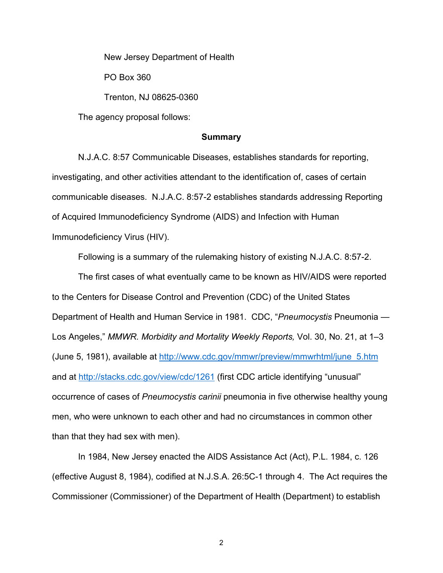New Jersey Department of Health

PO Box 360

Trenton, NJ 08625-0360

The agency proposal follows:

#### **Summary**

N.J.A.C. 8:57 Communicable Diseases, establishes standards for reporting, investigating, and other activities attendant to the identification of, cases of certain communicable diseases. N.J.A.C. 8:57-2 establishes standards addressing Reporting of Acquired Immunodeficiency Syndrome (AIDS) and Infection with Human Immunodeficiency Virus (HIV).

Following is a summary of the rulemaking history of existing N.J.A.C. 8:57-2.

The first cases of what eventually came to be known as HIV/AIDS were reported to the Centers for Disease Control and Prevention (CDC) of the United States Department of Health and Human Service in 1981. CDC, "*Pneumocystis* Pneumonia — Los Angeles," *MMWR. Morbidity and Mortality Weekly Reports,* Vol. 30, No. 21, at 1–3 (June 5, 1981), available at [http://www.cdc.gov/mmwr/preview/mmwrhtml/june\\_5.htm](http://www.cdc.gov/mmwr/preview/mmwrhtml/june_5.htm) and at [http://stacks.cdc.gov/view/cdc/1261](http://stacks.cdc.gov/view/cdc/1261T) (first CDC article identifying "unusual" occurrence of cases of *Pneumocystis carinii* pneumonia in five otherwise healthy young men, who were unknown to each other and had no circumstances in common other than that they had sex with men).

In 1984, New Jersey enacted the AIDS Assistance Act (Act), P.L. 1984, c. 126 (effective August 8, 1984), codified at N.J.S.A. 26:5C-1 through 4. The Act requires the Commissioner (Commissioner) of the Department of Health (Department) to establish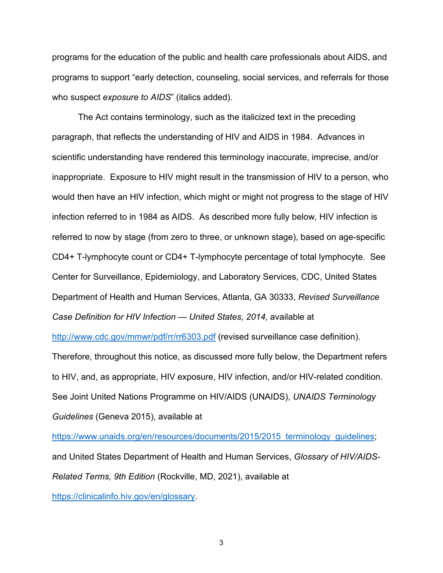programs for the education of the public and health care professionals about AIDS, and programs to support "early detection, counseling, social services, and referrals for those who suspect *exposure to AIDS*" (italics added).

The Act contains terminology, such as the italicized text in the preceding paragraph, that reflects the understanding of HIV and AIDS in 1984. Advances in scientific understanding have rendered this terminology inaccurate, imprecise, and/or inappropriate. Exposure to HIV might result in the transmission of HIV to a person, who would then have an HIV infection, which might or might not progress to the stage of HIV infection referred to in 1984 as AIDS. As described more fully below, HIV infection is referred to now by stage (from zero to three, or unknown stage), based on age-specific CD4+ T-lymphocyte count or CD4+ T-lymphocyte percentage of total lymphocyte. See Center for Surveillance, Epidemiology, and Laboratory Services, CDC, United States Department of Health and Human Services, Atlanta, GA 30333, *Revised Surveillance Case Definition for HIV Infection — United States, 2014,* available at

<http://www.cdc.gov/mmwr/pdf/rr/rr6303.pdf> (revised surveillance case definition). Therefore, throughout this notice, as discussed more fully below, the Department refers to HIV, and, as appropriate, HIV exposure, HIV infection, and/or HIV-related condition. See Joint United Nations Programme on HIV/AIDS (UNAIDS), *UNAIDS Terminology Guidelines* (Geneva 2015), available at

[https://www.unaids.org/en/resources/documents/2015/2015\\_terminology\\_guidelines;](https://www.unaids.org/en/resources/documents/2015/2015_terminology_guidelines) and United States Department of Health and Human Services, *Glossary of HIV/AIDS-Related Terms, 9th Edition* (Rockville, MD, 2021), available at [https://clinicalinfo.hiv.gov/en/glossary.](https://clinicalinfo.hiv.gov/en/glossary)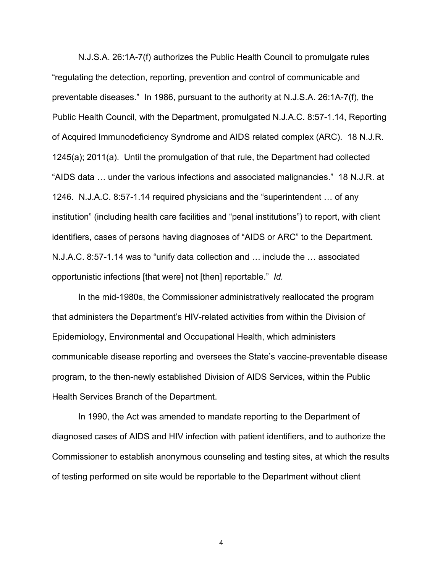N.J.S.A. 26:1A-7(f) authorizes the Public Health Council to promulgate rules "regulating the detection, reporting, prevention and control of communicable and preventable diseases." In 1986, pursuant to the authority at N.J.S.A. 26:1A-7(f), the Public Health Council, with the Department, promulgated N.J.A.C. 8:57-1.14, Reporting of Acquired Immunodeficiency Syndrome and AIDS related complex (ARC). 18 N.J.R. 1245(a); 2011(a). Until the promulgation of that rule, the Department had collected "AIDS data … under the various infections and associated malignancies." 18 N.J.R. at 1246. N.J.A.C. 8:57-1.14 required physicians and the "superintendent … of any institution" (including health care facilities and "penal institutions") to report, with client identifiers, cases of persons having diagnoses of "AIDS or ARC" to the Department. N.J.A.C. 8:57-1.14 was to "unify data collection and … include the … associated opportunistic infections [that were] not [then] reportable." *Id.*

In the mid-1980s, the Commissioner administratively reallocated the program that administers the Department's HIV-related activities from within the Division of Epidemiology, Environmental and Occupational Health, which administers communicable disease reporting and oversees the State's vaccine-preventable disease program, to the then-newly established Division of AIDS Services, within the Public Health Services Branch of the Department.

In 1990, the Act was amended to mandate reporting to the Department of diagnosed cases of AIDS and HIV infection with patient identifiers, and to authorize the Commissioner to establish anonymous counseling and testing sites, at which the results of testing performed on site would be reportable to the Department without client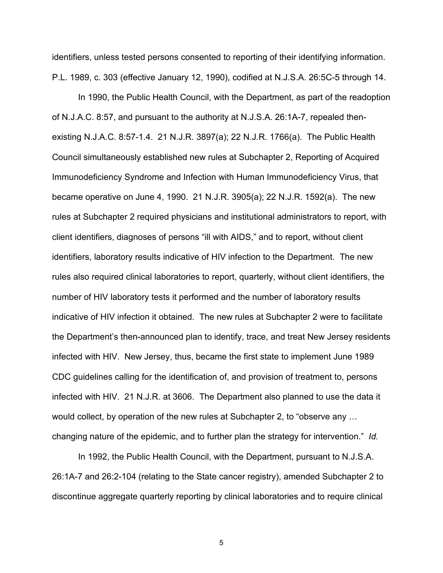identifiers, unless tested persons consented to reporting of their identifying information. P.L. 1989, c. 303 (effective January 12, 1990), codified at N.J.S.A. 26:5C-5 through 14.

In 1990, the Public Health Council, with the Department, as part of the readoption of N.J.A.C. 8:57, and pursuant to the authority at N.J.S.A. 26:1A-7, repealed thenexisting N.J.A.C. 8:57-1.4. 21 N.J.R. 3897(a); 22 N.J.R. 1766(a). The Public Health Council simultaneously established new rules at Subchapter 2, Reporting of Acquired Immunodeficiency Syndrome and Infection with Human Immunodeficiency Virus, that became operative on June 4, 1990. 21 N.J.R. 3905(a); 22 N.J.R. 1592(a). The new rules at Subchapter 2 required physicians and institutional administrators to report, with client identifiers, diagnoses of persons "ill with AIDS," and to report, without client identifiers, laboratory results indicative of HIV infection to the Department. The new rules also required clinical laboratories to report, quarterly, without client identifiers, the number of HIV laboratory tests it performed and the number of laboratory results indicative of HIV infection it obtained. The new rules at Subchapter 2 were to facilitate the Department's then-announced plan to identify, trace, and treat New Jersey residents infected with HIV. New Jersey, thus, became the first state to implement June 1989 CDC guidelines calling for the identification of, and provision of treatment to, persons infected with HIV. 21 N.J.R. at 3606. The Department also planned to use the data it would collect, by operation of the new rules at Subchapter 2, to "observe any … changing nature of the epidemic, and to further plan the strategy for intervention." *Id.*

In 1992, the Public Health Council, with the Department, pursuant to N.J.S.A. 26:1A-7 and 26:2-104 (relating to the State cancer registry), amended Subchapter 2 to discontinue aggregate quarterly reporting by clinical laboratories and to require clinical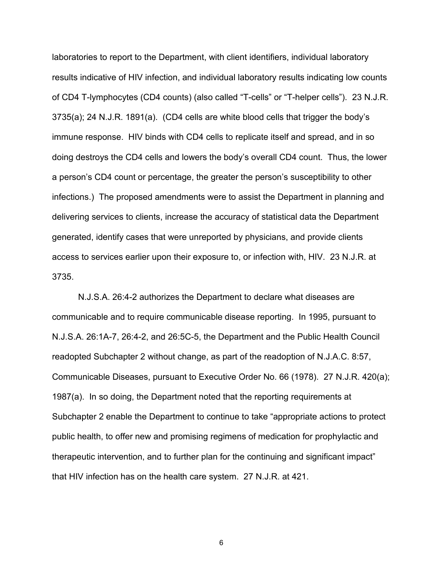laboratories to report to the Department, with client identifiers, individual laboratory results indicative of HIV infection, and individual laboratory results indicating low counts of CD4 T-lymphocytes (CD4 counts) (also called "T-cells" or "T-helper cells"). 23 N.J.R. 3735(a); 24 N.J.R. 1891(a). (CD4 cells are white blood cells that trigger the body's immune response. HIV binds with CD4 cells to replicate itself and spread, and in so doing destroys the CD4 cells and lowers the body's overall CD4 count. Thus, the lower a person's CD4 count or percentage, the greater the person's susceptibility to other infections.) The proposed amendments were to assist the Department in planning and delivering services to clients, increase the accuracy of statistical data the Department generated, identify cases that were unreported by physicians, and provide clients access to services earlier upon their exposure to, or infection with, HIV. 23 N.J.R. at 3735.

N.J.S.A. 26:4-2 authorizes the Department to declare what diseases are communicable and to require communicable disease reporting. In 1995, pursuant to N.J.S.A. 26:1A-7, 26:4-2, and 26:5C-5, the Department and the Public Health Council readopted Subchapter 2 without change, as part of the readoption of N.J.A.C. 8:57, Communicable Diseases, pursuant to Executive Order No. 66 (1978). 27 N.J.R. 420(a); 1987(a). In so doing, the Department noted that the reporting requirements at Subchapter 2 enable the Department to continue to take "appropriate actions to protect public health, to offer new and promising regimens of medication for prophylactic and therapeutic intervention, and to further plan for the continuing and significant impact" that HIV infection has on the health care system. 27 N.J.R. at 421.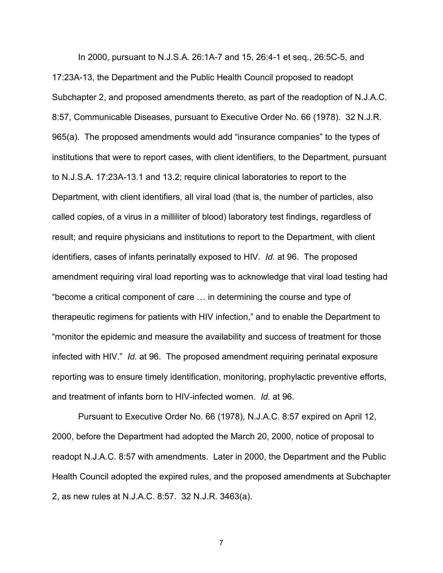In 2000, pursuant to N.J.S.A. 26:1A-7 and 15, 26:4-1 et seq., 26:5C-5, and 17:23A-13, the Department and the Public Health Council proposed to readopt Subchapter 2, and proposed amendments thereto, as part of the readoption of N.J.A.C. 8:57, Communicable Diseases, pursuant to Executive Order No. 66 (1978). 32 N.J.R. 965(a). The proposed amendments would add "insurance companies" to the types of institutions that were to report cases, with client identifiers, to the Department, pursuant to N.J.S.A. 17:23A-13.1 and 13.2; require clinical laboratories to report to the Department, with client identifiers, all viral load (that is, the number of particles, also called copies, of a virus in a milliliter of blood) laboratory test findings, regardless of result; and require physicians and institutions to report to the Department, with client identifiers, cases of infants perinatally exposed to HIV. *Id.* at 96. The proposed amendment requiring viral load reporting was to acknowledge that viral load testing had "become a critical component of care … in determining the course and type of therapeutic regimens for patients with HIV infection," and to enable the Department to "monitor the epidemic and measure the availability and success of treatment for those infected with HIV." *Id.* at 96. The proposed amendment requiring perinatal exposure reporting was to ensure timely identification, monitoring, prophylactic preventive efforts, and treatment of infants born to HIV-infected women. *Id.* at 96.

Pursuant to Executive Order No. 66 (1978), N.J.A.C. 8:57 expired on April 12, 2000, before the Department had adopted the March 20, 2000, notice of proposal to readopt N.J.A.C. 8:57 with amendments. Later in 2000, the Department and the Public Health Council adopted the expired rules, and the proposed amendments at Subchapter 2, as new rules at N.J.A.C. 8:57. 32 N.J.R. 3463(a).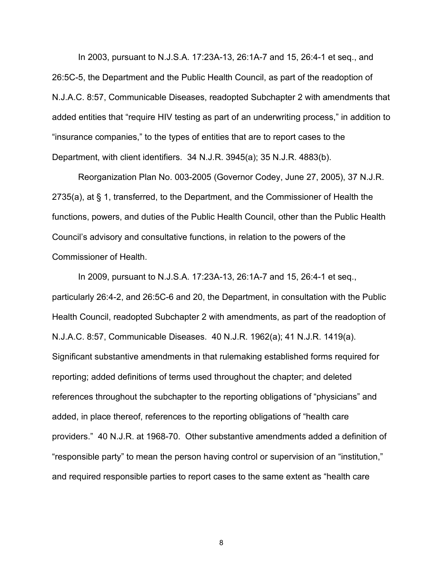In 2003, pursuant to N.J.S.A. 17:23A-13, 26:1A-7 and 15, 26:4-1 et seq., and 26:5C-5, the Department and the Public Health Council, as part of the readoption of N.J.A.C. 8:57, Communicable Diseases, readopted Subchapter 2 with amendments that added entities that "require HIV testing as part of an underwriting process," in addition to "insurance companies," to the types of entities that are to report cases to the Department, with client identifiers. 34 N.J.R. 3945(a); 35 N.J.R. 4883(b).

Reorganization Plan No. 003-2005 (Governor Codey, June 27, 2005), 37 N.J.R. 2735(a), at § 1, transferred, to the Department, and the Commissioner of Health the functions, powers, and duties of the Public Health Council, other than the Public Health Council's advisory and consultative functions, in relation to the powers of the Commissioner of Health.

In 2009, pursuant to N.J.S.A. 17:23A-13, 26:1A-7 and 15, 26:4-1 et seq., particularly 26:4-2, and 26:5C-6 and 20, the Department, in consultation with the Public Health Council, readopted Subchapter 2 with amendments, as part of the readoption of N.J.A.C. 8:57, Communicable Diseases. 40 N.J.R. 1962(a); 41 N.J.R. 1419(a). Significant substantive amendments in that rulemaking established forms required for reporting; added definitions of terms used throughout the chapter; and deleted references throughout the subchapter to the reporting obligations of "physicians" and added, in place thereof, references to the reporting obligations of "health care providers." 40 N.J.R. at 1968-70. Other substantive amendments added a definition of "responsible party" to mean the person having control or supervision of an "institution," and required responsible parties to report cases to the same extent as "health care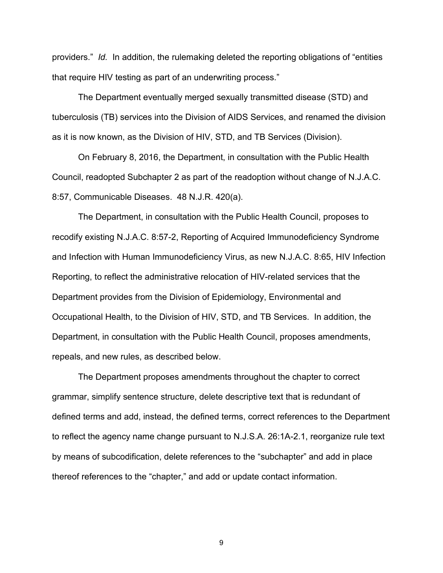providers." *Id.* In addition, the rulemaking deleted the reporting obligations of "entities that require HIV testing as part of an underwriting process."

The Department eventually merged sexually transmitted disease (STD) and tuberculosis (TB) services into the Division of AIDS Services, and renamed the division as it is now known, as the Division of HIV, STD, and TB Services (Division).

On February 8, 2016, the Department, in consultation with the Public Health Council, readopted Subchapter 2 as part of the readoption without change of N.J.A.C. 8:57, Communicable Diseases. 48 N.J.R. 420(a).

The Department, in consultation with the Public Health Council, proposes to recodify existing N.J.A.C. 8:57-2, Reporting of Acquired Immunodeficiency Syndrome and Infection with Human Immunodeficiency Virus, as new N.J.A.C. 8:65, HIV Infection Reporting, to reflect the administrative relocation of HIV-related services that the Department provides from the Division of Epidemiology, Environmental and Occupational Health, to the Division of HIV, STD, and TB Services. In addition, the Department, in consultation with the Public Health Council, proposes amendments, repeals, and new rules, as described below.

The Department proposes amendments throughout the chapter to correct grammar, simplify sentence structure, delete descriptive text that is redundant of defined terms and add, instead, the defined terms, correct references to the Department to reflect the agency name change pursuant to N.J.S.A. 26:1A-2.1, reorganize rule text by means of subcodification, delete references to the "subchapter" and add in place thereof references to the "chapter," and add or update contact information.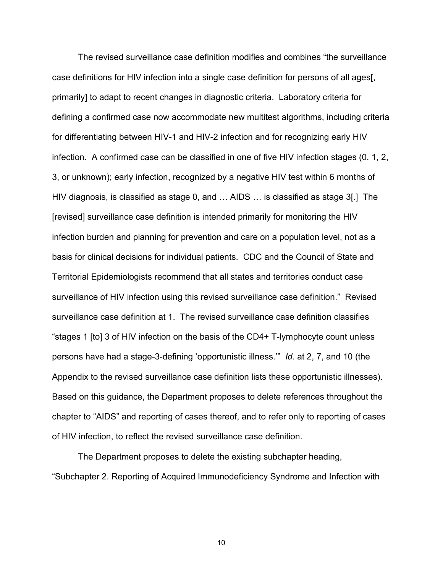The revised surveillance case definition modifies and combines "the surveillance case definitions for HIV infection into a single case definition for persons of all ages[, primarily] to adapt to recent changes in diagnostic criteria. Laboratory criteria for defining a confirmed case now accommodate new multitest algorithms, including criteria for differentiating between HIV-1 and HIV-2 infection and for recognizing early HIV infection. A confirmed case can be classified in one of five HIV infection stages (0, 1, 2, 3, or unknown); early infection, recognized by a negative HIV test within 6 months of HIV diagnosis, is classified as stage 0, and … AIDS … is classified as stage 3[.] The [revised] surveillance case definition is intended primarily for monitoring the HIV infection burden and planning for prevention and care on a population level, not as a basis for clinical decisions for individual patients. CDC and the Council of State and Territorial Epidemiologists recommend that all states and territories conduct case surveillance of HIV infection using this revised surveillance case definition." Revised surveillance case definition at 1. The revised surveillance case definition classifies "stages 1 [to] 3 of HIV infection on the basis of the CD4+ T-lymphocyte count unless persons have had a stage-3-defining 'opportunistic illness.'" *Id.* at 2, 7, and 10 (the Appendix to the revised surveillance case definition lists these opportunistic illnesses). Based on this guidance, the Department proposes to delete references throughout the chapter to "AIDS" and reporting of cases thereof, and to refer only to reporting of cases of HIV infection, to reflect the revised surveillance case definition.

The Department proposes to delete the existing subchapter heading, "Subchapter 2. Reporting of Acquired Immunodeficiency Syndrome and Infection with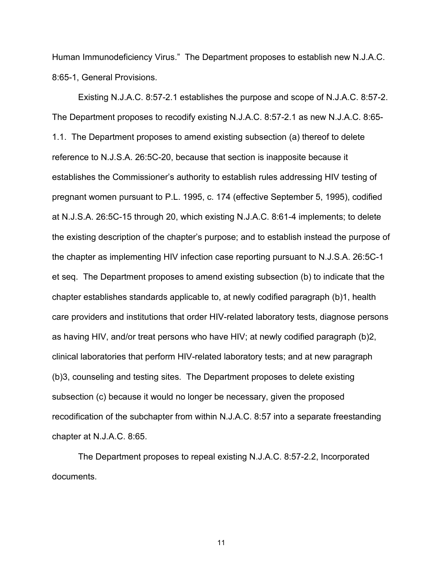Human Immunodeficiency Virus." The Department proposes to establish new N.J.A.C. 8:65-1, General Provisions.

Existing N.J.A.C. 8:57-2.1 establishes the purpose and scope of N.J.A.C. 8:57-2. The Department proposes to recodify existing N.J.A.C. 8:57-2.1 as new N.J.A.C. 8:65- 1.1. The Department proposes to amend existing subsection (a) thereof to delete reference to N.J.S.A. 26:5C-20, because that section is inapposite because it establishes the Commissioner's authority to establish rules addressing HIV testing of pregnant women pursuant to P.L. 1995, c. 174 (effective September 5, 1995), codified at N.J.S.A. 26:5C-15 through 20, which existing N.J.A.C. 8:61-4 implements; to delete the existing description of the chapter's purpose; and to establish instead the purpose of the chapter as implementing HIV infection case reporting pursuant to N.J.S.A. 26:5C-1 et seq. The Department proposes to amend existing subsection (b) to indicate that the chapter establishes standards applicable to, at newly codified paragraph (b)1, health care providers and institutions that order HIV-related laboratory tests, diagnose persons as having HIV, and/or treat persons who have HIV; at newly codified paragraph (b)2, clinical laboratories that perform HIV-related laboratory tests; and at new paragraph (b)3, counseling and testing sites. The Department proposes to delete existing subsection (c) because it would no longer be necessary, given the proposed recodification of the subchapter from within N.J.A.C. 8:57 into a separate freestanding chapter at N.J.A.C. 8:65.

The Department proposes to repeal existing N.J.A.C. 8:57-2.2, Incorporated documents.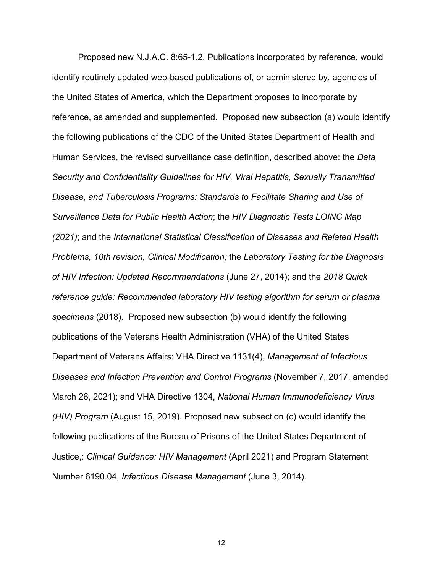Proposed new N.J.A.C. 8:65-1.2, Publications incorporated by reference, would identify routinely updated web-based publications of, or administered by, agencies of the United States of America, which the Department proposes to incorporate by reference, as amended and supplemented. Proposed new subsection (a) would identify the following publications of the CDC of the United States Department of Health and Human Services, the revised surveillance case definition, described above: the *Data Security and Confidentiality Guidelines for HIV, Viral Hepatitis, Sexually Transmitted Disease, and Tuberculosis Programs: Standards to Facilitate Sharing and Use of Surveillance Data for Public Health Action*; the *HIV Diagnostic Tests LOINC Map (2021)*; and the *International Statistical Classification of Diseases and Related Health Problems, 10th revision, Clinical Modification;* the *Laboratory Testing for the Diagnosis of HIV Infection: Updated Recommendations* (June 27, 2014); and the *2018 Quick reference guide: Recommended laboratory HIV testing algorithm for serum or plasma specimens* (2018). Proposed new subsection (b) would identify the following publications of the Veterans Health Administration (VHA) of the United States Department of Veterans Affairs: VHA Directive 1131(4), *Management of Infectious Diseases and Infection Prevention and Control Programs* (November 7, 2017, amended March 26, 2021); and VHA Directive 1304, *National Human Immunodeficiency Virus (HIV) Program* (August 15, 2019). Proposed new subsection (c) would identify the following publications of the Bureau of Prisons of the United States Department of Justice,: *Clinical Guidance: HIV Management* (April 2021) and Program Statement Number 6190.04, *Infectious Disease Management* (June 3, 2014).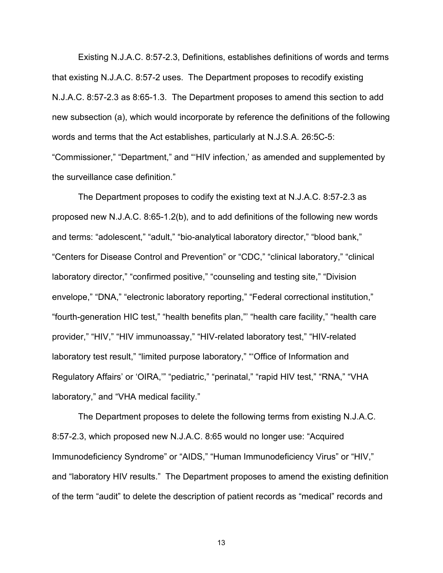Existing N.J.A.C. 8:57-2.3, Definitions, establishes definitions of words and terms that existing N.J.A.C. 8:57-2 uses. The Department proposes to recodify existing N.J.A.C. 8:57-2.3 as 8:65-1.3. The Department proposes to amend this section to add new subsection (a), which would incorporate by reference the definitions of the following words and terms that the Act establishes, particularly at N.J.S.A. 26:5C-5: "Commissioner," "Department," and "'HIV infection,' as amended and supplemented by the surveillance case definition."

The Department proposes to codify the existing text at N.J.A.C. 8:57-2.3 as proposed new N.J.A.C. 8:65-1.2(b), and to add definitions of the following new words and terms: "adolescent," "adult," "bio-analytical laboratory director," "blood bank," "Centers for Disease Control and Prevention" or "CDC," "clinical laboratory," "clinical laboratory director," "confirmed positive," "counseling and testing site," "Division envelope," "DNA," "electronic laboratory reporting," "Federal correctional institution," "fourth-generation HIC test," "health benefits plan,"' "health care facility," "health care provider," "HIV," "HIV immunoassay," "HIV-related laboratory test," "HIV-related laboratory test result," "limited purpose laboratory," "'Office of Information and Regulatory Affairs' or 'OIRA," "pediatric," "perinatal," "rapid HIV test," "RNA," "VHA laboratory," and "VHA medical facility."

The Department proposes to delete the following terms from existing N.J.A.C. 8:57-2.3, which proposed new N.J.A.C. 8:65 would no longer use: "Acquired Immunodeficiency Syndrome" or "AIDS," "Human Immunodeficiency Virus" or "HIV," and "laboratory HIV results." The Department proposes to amend the existing definition of the term "audit" to delete the description of patient records as "medical" records and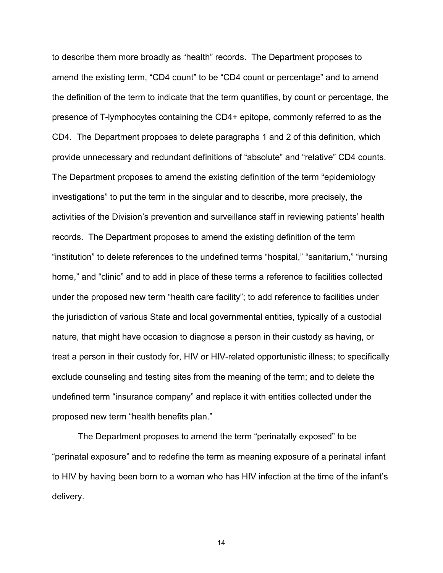to describe them more broadly as "health" records. The Department proposes to amend the existing term, "CD4 count" to be "CD4 count or percentage" and to amend the definition of the term to indicate that the term quantifies, by count or percentage, the presence of T-lymphocytes containing the CD4+ epitope, commonly referred to as the CD4. The Department proposes to delete paragraphs 1 and 2 of this definition, which provide unnecessary and redundant definitions of "absolute" and "relative" CD4 counts. The Department proposes to amend the existing definition of the term "epidemiology investigations" to put the term in the singular and to describe, more precisely, the activities of the Division's prevention and surveillance staff in reviewing patients' health records. The Department proposes to amend the existing definition of the term "institution" to delete references to the undefined terms "hospital," "sanitarium," "nursing home," and "clinic" and to add in place of these terms a reference to facilities collected under the proposed new term "health care facility"; to add reference to facilities under the jurisdiction of various State and local governmental entities, typically of a custodial nature, that might have occasion to diagnose a person in their custody as having, or treat a person in their custody for, HIV or HIV-related opportunistic illness; to specifically exclude counseling and testing sites from the meaning of the term; and to delete the undefined term "insurance company" and replace it with entities collected under the proposed new term "health benefits plan."

The Department proposes to amend the term "perinatally exposed" to be "perinatal exposure" and to redefine the term as meaning exposure of a perinatal infant to HIV by having been born to a woman who has HIV infection at the time of the infant's delivery.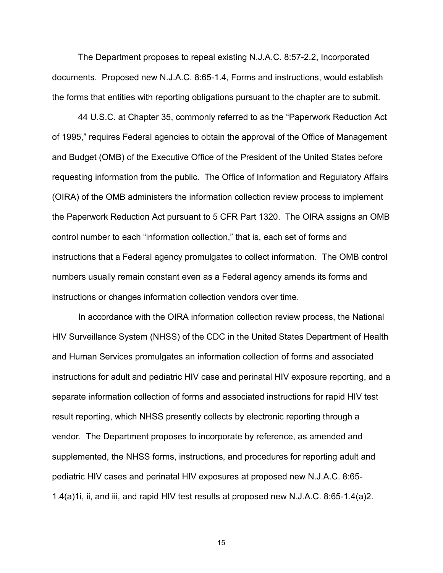The Department proposes to repeal existing N.J.A.C. 8:57-2.2, Incorporated documents. Proposed new N.J.A.C. 8:65-1.4, Forms and instructions, would establish the forms that entities with reporting obligations pursuant to the chapter are to submit.

44 U.S.C. at Chapter 35, commonly referred to as the "Paperwork Reduction Act of 1995," requires Federal agencies to obtain the approval of the Office of Management and Budget (OMB) of the Executive Office of the President of the United States before requesting information from the public. The Office of Information and Regulatory Affairs (OIRA) of the OMB administers the information collection review process to implement the Paperwork Reduction Act pursuant to 5 CFR Part 1320. The OIRA assigns an OMB control number to each "information collection," that is, each set of forms and instructions that a Federal agency promulgates to collect information. The OMB control numbers usually remain constant even as a Federal agency amends its forms and instructions or changes information collection vendors over time.

In accordance with the OIRA information collection review process, the National HIV Surveillance System (NHSS) of the CDC in the United States Department of Health and Human Services promulgates an information collection of forms and associated instructions for adult and pediatric HIV case and perinatal HIV exposure reporting, and a separate information collection of forms and associated instructions for rapid HIV test result reporting, which NHSS presently collects by electronic reporting through a vendor. The Department proposes to incorporate by reference, as amended and supplemented, the NHSS forms, instructions, and procedures for reporting adult and pediatric HIV cases and perinatal HIV exposures at proposed new N.J.A.C. 8:65- 1.4(a)1i, ii, and iii, and rapid HIV test results at proposed new N.J.A.C. 8:65-1.4(a)2.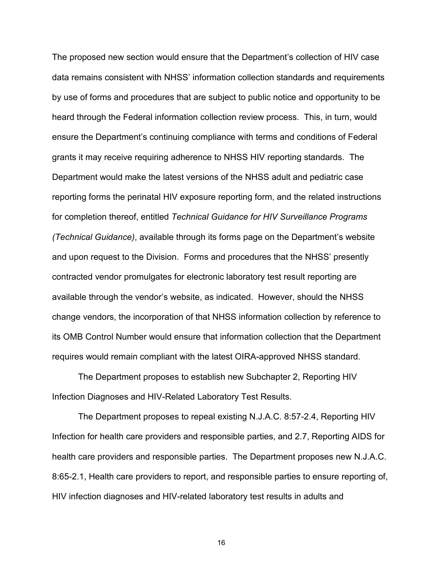The proposed new section would ensure that the Department's collection of HIV case data remains consistent with NHSS' information collection standards and requirements by use of forms and procedures that are subject to public notice and opportunity to be heard through the Federal information collection review process. This, in turn, would ensure the Department's continuing compliance with terms and conditions of Federal grants it may receive requiring adherence to NHSS HIV reporting standards. The Department would make the latest versions of the NHSS adult and pediatric case reporting forms the perinatal HIV exposure reporting form, and the related instructions for completion thereof, entitled *Technical Guidance for HIV Surveillance Programs (Technical Guidance)*, available through its forms page on the Department's website and upon request to the Division. Forms and procedures that the NHSS' presently contracted vendor promulgates for electronic laboratory test result reporting are available through the vendor's website, as indicated. However, should the NHSS change vendors, the incorporation of that NHSS information collection by reference to its OMB Control Number would ensure that information collection that the Department requires would remain compliant with the latest OIRA-approved NHSS standard.

The Department proposes to establish new Subchapter 2, Reporting HIV Infection Diagnoses and HIV-Related Laboratory Test Results.

The Department proposes to repeal existing N.J.A.C. 8:57-2.4, Reporting HIV Infection for health care providers and responsible parties, and 2.7, Reporting AIDS for health care providers and responsible parties. The Department proposes new N.J.A.C. 8:65-2.1, Health care providers to report, and responsible parties to ensure reporting of, HIV infection diagnoses and HIV-related laboratory test results in adults and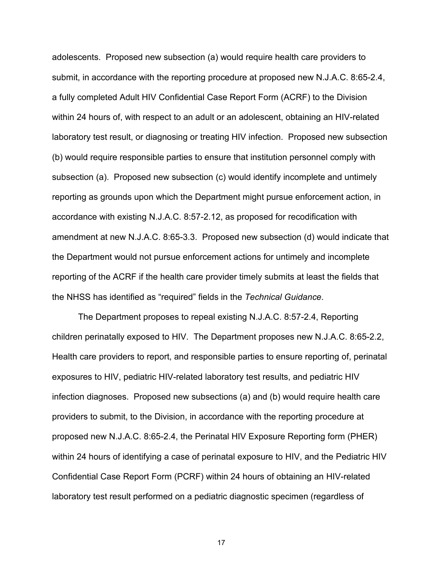adolescents. Proposed new subsection (a) would require health care providers to submit, in accordance with the reporting procedure at proposed new N.J.A.C. 8:65-2.4, a fully completed Adult HIV Confidential Case Report Form (ACRF) to the Division within 24 hours of, with respect to an adult or an adolescent, obtaining an HIV-related laboratory test result, or diagnosing or treating HIV infection. Proposed new subsection (b) would require responsible parties to ensure that institution personnel comply with subsection (a). Proposed new subsection (c) would identify incomplete and untimely reporting as grounds upon which the Department might pursue enforcement action, in accordance with existing N.J.A.C. 8:57-2.12, as proposed for recodification with amendment at new N.J.A.C. 8:65-3.3. Proposed new subsection (d) would indicate that the Department would not pursue enforcement actions for untimely and incomplete reporting of the ACRF if the health care provider timely submits at least the fields that the NHSS has identified as "required" fields in the *Technical Guidance*.

The Department proposes to repeal existing N.J.A.C. 8:57-2.4, Reporting children perinatally exposed to HIV. The Department proposes new N.J.A.C. 8:65-2.2, Health care providers to report, and responsible parties to ensure reporting of, perinatal exposures to HIV, pediatric HIV-related laboratory test results, and pediatric HIV infection diagnoses. Proposed new subsections (a) and (b) would require health care providers to submit, to the Division, in accordance with the reporting procedure at proposed new N.J.A.C. 8:65-2.4, the Perinatal HIV Exposure Reporting form (PHER) within 24 hours of identifying a case of perinatal exposure to HIV, and the Pediatric HIV Confidential Case Report Form (PCRF) within 24 hours of obtaining an HIV-related laboratory test result performed on a pediatric diagnostic specimen (regardless of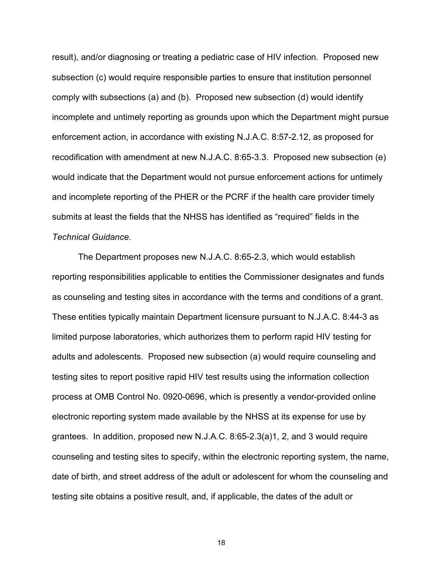result), and/or diagnosing or treating a pediatric case of HIV infection. Proposed new subsection (c) would require responsible parties to ensure that institution personnel comply with subsections (a) and (b). Proposed new subsection (d) would identify incomplete and untimely reporting as grounds upon which the Department might pursue enforcement action, in accordance with existing N.J.A.C. 8:57-2.12, as proposed for recodification with amendment at new N.J.A.C. 8:65-3.3. Proposed new subsection (e) would indicate that the Department would not pursue enforcement actions for untimely and incomplete reporting of the PHER or the PCRF if the health care provider timely submits at least the fields that the NHSS has identified as "required" fields in the *Technical Guidance*.

The Department proposes new N.J.A.C. 8:65-2.3, which would establish reporting responsibilities applicable to entities the Commissioner designates and funds as counseling and testing sites in accordance with the terms and conditions of a grant. These entities typically maintain Department licensure pursuant to N.J.A.C. 8:44-3 as limited purpose laboratories, which authorizes them to perform rapid HIV testing for adults and adolescents. Proposed new subsection (a) would require counseling and testing sites to report positive rapid HIV test results using the information collection process at OMB Control No. 0920-0696, which is presently a vendor-provided online electronic reporting system made available by the NHSS at its expense for use by grantees. In addition, proposed new N.J.A.C. 8:65-2.3(a)1, 2, and 3 would require counseling and testing sites to specify, within the electronic reporting system, the name, date of birth, and street address of the adult or adolescent for whom the counseling and testing site obtains a positive result, and, if applicable, the dates of the adult or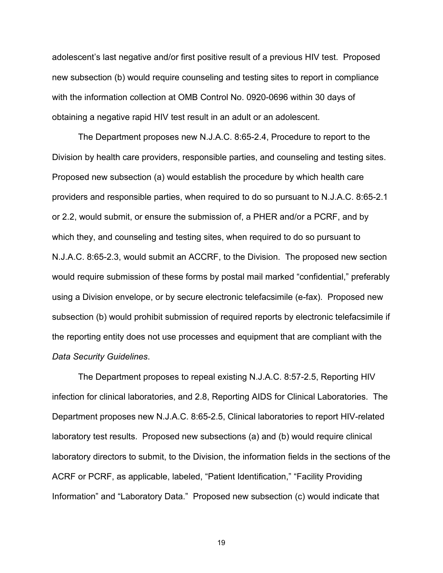adolescent's last negative and/or first positive result of a previous HIV test. Proposed new subsection (b) would require counseling and testing sites to report in compliance with the information collection at OMB Control No. 0920-0696 within 30 days of obtaining a negative rapid HIV test result in an adult or an adolescent.

The Department proposes new N.J.A.C. 8:65-2.4, Procedure to report to the Division by health care providers, responsible parties, and counseling and testing sites. Proposed new subsection (a) would establish the procedure by which health care providers and responsible parties, when required to do so pursuant to N.J.A.C. 8:65-2.1 or 2.2, would submit, or ensure the submission of, a PHER and/or a PCRF, and by which they, and counseling and testing sites, when required to do so pursuant to N.J.A.C. 8:65-2.3, would submit an ACCRF, to the Division. The proposed new section would require submission of these forms by postal mail marked "confidential," preferably using a Division envelope, or by secure electronic telefacsimile (e-fax). Proposed new subsection (b) would prohibit submission of required reports by electronic telefacsimile if the reporting entity does not use processes and equipment that are compliant with the *Data Security Guidelines*.

The Department proposes to repeal existing N.J.A.C. 8:57-2.5, Reporting HIV infection for clinical laboratories, and 2.8, Reporting AIDS for Clinical Laboratories. The Department proposes new N.J.A.C. 8:65-2.5, Clinical laboratories to report HIV-related laboratory test results. Proposed new subsections (a) and (b) would require clinical laboratory directors to submit, to the Division, the information fields in the sections of the ACRF or PCRF, as applicable, labeled, "Patient Identification," "Facility Providing Information" and "Laboratory Data." Proposed new subsection (c) would indicate that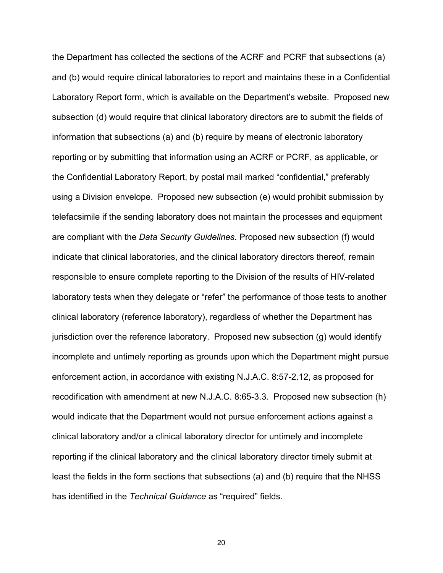the Department has collected the sections of the ACRF and PCRF that subsections (a) and (b) would require clinical laboratories to report and maintains these in a Confidential Laboratory Report form, which is available on the Department's website. Proposed new subsection (d) would require that clinical laboratory directors are to submit the fields of information that subsections (a) and (b) require by means of electronic laboratory reporting or by submitting that information using an ACRF or PCRF, as applicable, or the Confidential Laboratory Report, by postal mail marked "confidential," preferably using a Division envelope. Proposed new subsection (e) would prohibit submission by telefacsimile if the sending laboratory does not maintain the processes and equipment are compliant with the *Data Security Guidelines*. Proposed new subsection (f) would indicate that clinical laboratories, and the clinical laboratory directors thereof, remain responsible to ensure complete reporting to the Division of the results of HIV-related laboratory tests when they delegate or "refer" the performance of those tests to another clinical laboratory (reference laboratory), regardless of whether the Department has jurisdiction over the reference laboratory. Proposed new subsection (g) would identify incomplete and untimely reporting as grounds upon which the Department might pursue enforcement action, in accordance with existing N.J.A.C. 8:57-2.12, as proposed for recodification with amendment at new N.J.A.C. 8:65-3.3. Proposed new subsection (h) would indicate that the Department would not pursue enforcement actions against a clinical laboratory and/or a clinical laboratory director for untimely and incomplete reporting if the clinical laboratory and the clinical laboratory director timely submit at least the fields in the form sections that subsections (a) and (b) require that the NHSS has identified in the *Technical Guidance* as "required" fields.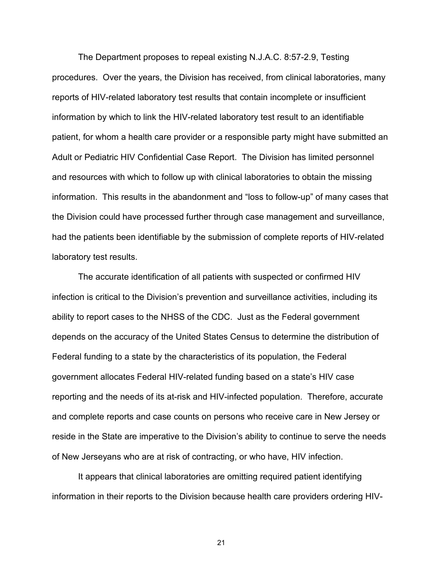The Department proposes to repeal existing N.J.A.C. 8:57-2.9, Testing procedures. Over the years, the Division has received, from clinical laboratories, many reports of HIV-related laboratory test results that contain incomplete or insufficient information by which to link the HIV-related laboratory test result to an identifiable patient, for whom a health care provider or a responsible party might have submitted an Adult or Pediatric HIV Confidential Case Report. The Division has limited personnel and resources with which to follow up with clinical laboratories to obtain the missing information. This results in the abandonment and "loss to follow-up" of many cases that the Division could have processed further through case management and surveillance, had the patients been identifiable by the submission of complete reports of HIV-related laboratory test results.

The accurate identification of all patients with suspected or confirmed HIV infection is critical to the Division's prevention and surveillance activities, including its ability to report cases to the NHSS of the CDC. Just as the Federal government depends on the accuracy of the United States Census to determine the distribution of Federal funding to a state by the characteristics of its population, the Federal government allocates Federal HIV-related funding based on a state's HIV case reporting and the needs of its at-risk and HIV-infected population. Therefore, accurate and complete reports and case counts on persons who receive care in New Jersey or reside in the State are imperative to the Division's ability to continue to serve the needs of New Jerseyans who are at risk of contracting, or who have, HIV infection.

It appears that clinical laboratories are omitting required patient identifying information in their reports to the Division because health care providers ordering HIV-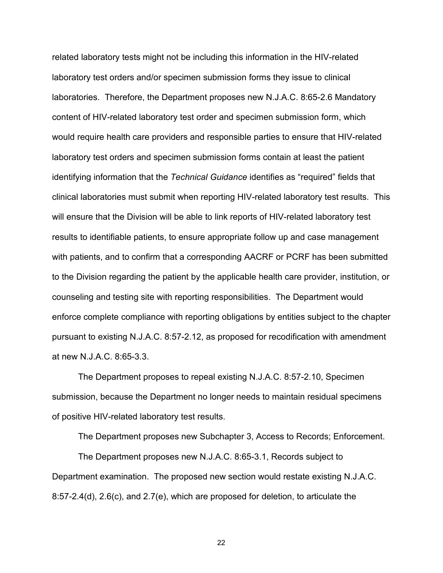related laboratory tests might not be including this information in the HIV-related laboratory test orders and/or specimen submission forms they issue to clinical laboratories. Therefore, the Department proposes new N.J.A.C. 8:65-2.6 Mandatory content of HIV-related laboratory test order and specimen submission form, which would require health care providers and responsible parties to ensure that HIV-related laboratory test orders and specimen submission forms contain at least the patient identifying information that the *Technical Guidance* identifies as "required" fields that clinical laboratories must submit when reporting HIV-related laboratory test results. This will ensure that the Division will be able to link reports of HIV-related laboratory test results to identifiable patients, to ensure appropriate follow up and case management with patients, and to confirm that a corresponding AACRF or PCRF has been submitted to the Division regarding the patient by the applicable health care provider, institution, or counseling and testing site with reporting responsibilities. The Department would enforce complete compliance with reporting obligations by entities subject to the chapter pursuant to existing N.J.A.C. 8:57-2.12, as proposed for recodification with amendment at new N.J.A.C. 8:65-3.3.

The Department proposes to repeal existing N.J.A.C. 8:57-2.10, Specimen submission, because the Department no longer needs to maintain residual specimens of positive HIV-related laboratory test results.

The Department proposes new Subchapter 3, Access to Records; Enforcement.

The Department proposes new N.J.A.C. 8:65-3.1, Records subject to Department examination. The proposed new section would restate existing N.J.A.C. 8:57-2.4(d), 2.6(c), and 2.7(e), which are proposed for deletion, to articulate the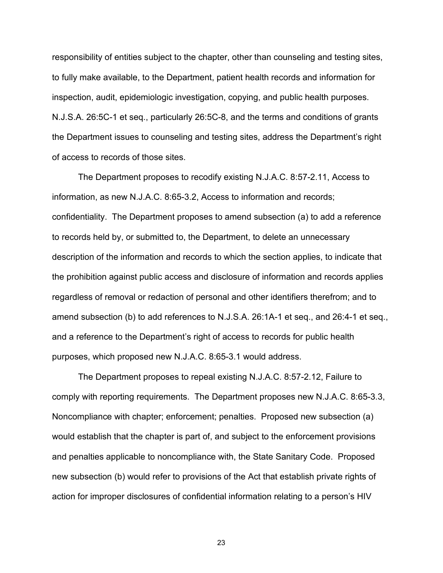responsibility of entities subject to the chapter, other than counseling and testing sites, to fully make available, to the Department, patient health records and information for inspection, audit, epidemiologic investigation, copying, and public health purposes. N.J.S.A. 26:5C-1 et seq., particularly 26:5C-8, and the terms and conditions of grants the Department issues to counseling and testing sites, address the Department's right of access to records of those sites.

The Department proposes to recodify existing N.J.A.C. 8:57-2.11, Access to information, as new N.J.A.C. 8:65-3.2, Access to information and records; confidentiality. The Department proposes to amend subsection (a) to add a reference to records held by, or submitted to, the Department, to delete an unnecessary description of the information and records to which the section applies, to indicate that the prohibition against public access and disclosure of information and records applies regardless of removal or redaction of personal and other identifiers therefrom; and to amend subsection (b) to add references to N.J.S.A. 26:1A-1 et seq., and 26:4-1 et seq., and a reference to the Department's right of access to records for public health purposes, which proposed new N.J.A.C. 8:65-3.1 would address.

The Department proposes to repeal existing N.J.A.C. 8:57-2.12, Failure to comply with reporting requirements. The Department proposes new N.J.A.C. 8:65-3.3, Noncompliance with chapter; enforcement; penalties. Proposed new subsection (a) would establish that the chapter is part of, and subject to the enforcement provisions and penalties applicable to noncompliance with, the State Sanitary Code. Proposed new subsection (b) would refer to provisions of the Act that establish private rights of action for improper disclosures of confidential information relating to a person's HIV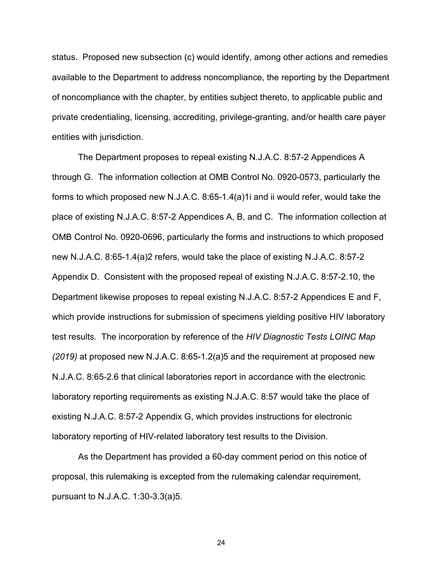status. Proposed new subsection (c) would identify, among other actions and remedies available to the Department to address noncompliance, the reporting by the Department of noncompliance with the chapter, by entities subject thereto, to applicable public and private credentialing, licensing, accrediting, privilege-granting, and/or health care payer entities with jurisdiction.

The Department proposes to repeal existing N.J.A.C. 8:57-2 Appendices A through G. The information collection at OMB Control No. 0920-0573, particularly the forms to which proposed new N.J.A.C. 8:65-1.4(a)1i and ii would refer, would take the place of existing N.J.A.C. 8:57-2 Appendices A, B, and C. The information collection at OMB Control No. 0920-0696, particularly the forms and instructions to which proposed new N.J.A.C. 8:65-1.4(a)2 refers, would take the place of existing N.J.A.C. 8:57-2 Appendix D. Consistent with the proposed repeal of existing N.J.A.C. 8:57-2.10, the Department likewise proposes to repeal existing N.J.A.C. 8:57-2 Appendices E and F, which provide instructions for submission of specimens yielding positive HIV laboratory test results. The incorporation by reference of the *HIV Diagnostic Tests LOINC Map (2019)* at proposed new N.J.A.C. 8:65-1.2(a)5 and the requirement at proposed new N.J.A.C. 8:65-2.6 that clinical laboratories report in accordance with the electronic laboratory reporting requirements as existing N.J.A.C. 8:57 would take the place of existing N.J.A.C. 8:57-2 Appendix G, which provides instructions for electronic laboratory reporting of HIV-related laboratory test results to the Division.

As the Department has provided a 60-day comment period on this notice of proposal, this rulemaking is excepted from the rulemaking calendar requirement, pursuant to N.J.A.C. 1:30-3.3(a)5.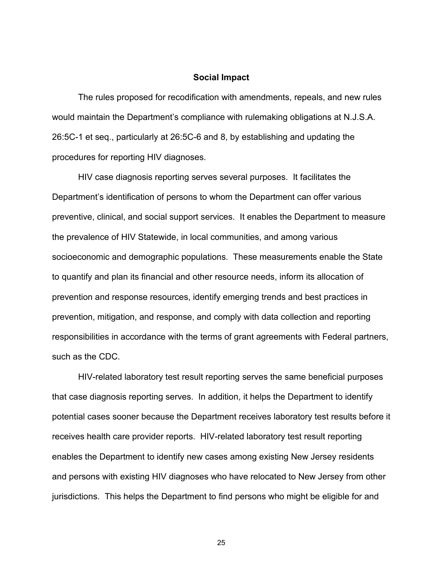### **Social Impact**

The rules proposed for recodification with amendments, repeals, and new rules would maintain the Department's compliance with rulemaking obligations at N.J.S.A. 26:5C-1 et seq., particularly at 26:5C-6 and 8, by establishing and updating the procedures for reporting HIV diagnoses.

HIV case diagnosis reporting serves several purposes. It facilitates the Department's identification of persons to whom the Department can offer various preventive, clinical, and social support services. It enables the Department to measure the prevalence of HIV Statewide, in local communities, and among various socioeconomic and demographic populations. These measurements enable the State to quantify and plan its financial and other resource needs, inform its allocation of prevention and response resources, identify emerging trends and best practices in prevention, mitigation, and response, and comply with data collection and reporting responsibilities in accordance with the terms of grant agreements with Federal partners, such as the CDC.

HIV-related laboratory test result reporting serves the same beneficial purposes that case diagnosis reporting serves. In addition, it helps the Department to identify potential cases sooner because the Department receives laboratory test results before it receives health care provider reports. HIV-related laboratory test result reporting enables the Department to identify new cases among existing New Jersey residents and persons with existing HIV diagnoses who have relocated to New Jersey from other jurisdictions. This helps the Department to find persons who might be eligible for and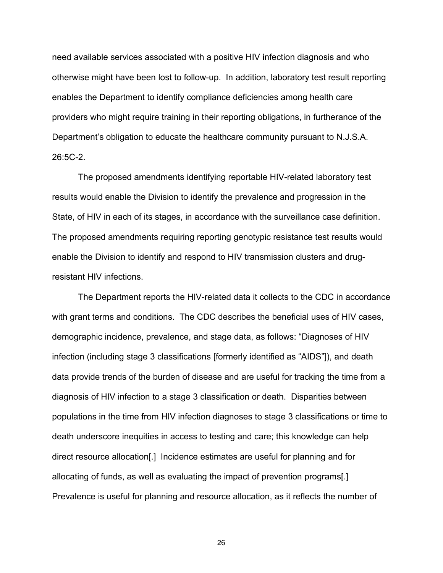need available services associated with a positive HIV infection diagnosis and who otherwise might have been lost to follow-up. In addition, laboratory test result reporting enables the Department to identify compliance deficiencies among health care providers who might require training in their reporting obligations, in furtherance of the Department's obligation to educate the healthcare community pursuant to N.J.S.A. 26:5C-2.

The proposed amendments identifying reportable HIV-related laboratory test results would enable the Division to identify the prevalence and progression in the State, of HIV in each of its stages, in accordance with the surveillance case definition. The proposed amendments requiring reporting genotypic resistance test results would enable the Division to identify and respond to HIV transmission clusters and drugresistant HIV infections.

The Department reports the HIV-related data it collects to the CDC in accordance with grant terms and conditions. The CDC describes the beneficial uses of HIV cases, demographic incidence, prevalence, and stage data, as follows: "Diagnoses of HIV infection (including stage 3 classifications [formerly identified as "AIDS"]), and death data provide trends of the burden of disease and are useful for tracking the time from a diagnosis of HIV infection to a stage 3 classification or death. Disparities between populations in the time from HIV infection diagnoses to stage 3 classifications or time to death underscore inequities in access to testing and care; this knowledge can help direct resource allocation[.] Incidence estimates are useful for planning and for allocating of funds, as well as evaluating the impact of prevention programs[.] Prevalence is useful for planning and resource allocation, as it reflects the number of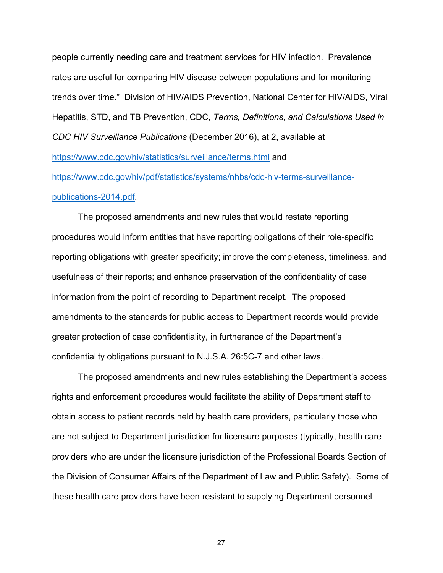people currently needing care and treatment services for HIV infection. Prevalence rates are useful for comparing HIV disease between populations and for monitoring trends over time." Division of HIV/AIDS Prevention, National Center for HIV/AIDS, Viral Hepatitis, STD, and TB Prevention, CDC, *Terms, Definitions, and Calculations Used in CDC HIV Surveillance Publications* (December 2016), at 2, available at <https://www.cdc.gov/hiv/statistics/surveillance/terms.html> and

[https://www.cdc.gov/hiv/pdf/statistics/systems/nhbs/cdc-hiv-terms-surveillance](https://www.cdc.gov/hiv/pdf/statistics/systems/nhbs/cdc-hiv-terms-surveillance-publications-2014.pdf)[publications-2014.pdf.](https://www.cdc.gov/hiv/pdf/statistics/systems/nhbs/cdc-hiv-terms-surveillance-publications-2014.pdf)

The proposed amendments and new rules that would restate reporting procedures would inform entities that have reporting obligations of their role-specific reporting obligations with greater specificity; improve the completeness, timeliness, and usefulness of their reports; and enhance preservation of the confidentiality of case information from the point of recording to Department receipt. The proposed amendments to the standards for public access to Department records would provide greater protection of case confidentiality, in furtherance of the Department's confidentiality obligations pursuant to N.J.S.A. 26:5C-7 and other laws.

The proposed amendments and new rules establishing the Department's access rights and enforcement procedures would facilitate the ability of Department staff to obtain access to patient records held by health care providers, particularly those who are not subject to Department jurisdiction for licensure purposes (typically, health care providers who are under the licensure jurisdiction of the Professional Boards Section of the Division of Consumer Affairs of the Department of Law and Public Safety). Some of these health care providers have been resistant to supplying Department personnel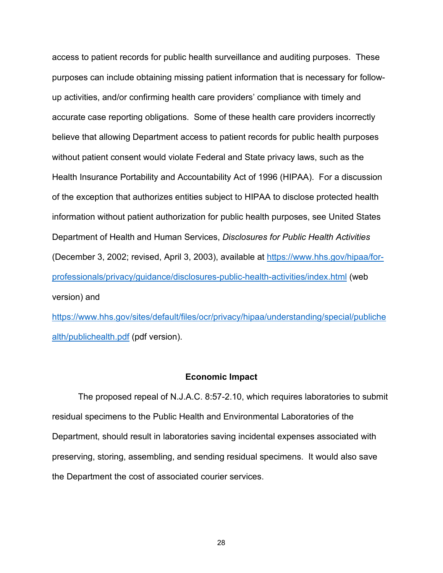access to patient records for public health surveillance and auditing purposes. These purposes can include obtaining missing patient information that is necessary for followup activities, and/or confirming health care providers' compliance with timely and accurate case reporting obligations. Some of these health care providers incorrectly believe that allowing Department access to patient records for public health purposes without patient consent would violate Federal and State privacy laws, such as the Health Insurance Portability and Accountability Act of 1996 (HIPAA). For a discussion of the exception that authorizes entities subject to HIPAA to disclose protected health information without patient authorization for public health purposes, see United States Department of Health and Human Services, *Disclosures for Public Health Activities* (December 3, 2002; revised, April 3, 2003), available at [https://www.hhs.gov/hipaa/for](https://www.hhs.gov/hipaa/for-professionals/privacy/guidance/disclosures-public-health-activities/index.html)[professionals/privacy/guidance/disclosures-public-health-activities/index.html](https://www.hhs.gov/hipaa/for-professionals/privacy/guidance/disclosures-public-health-activities/index.html) (web version) and

[https://www.hhs.gov/sites/default/files/ocr/privacy/hipaa/understanding/special/publiche](https://www.hhs.gov/sites/default/files/ocr/privacy/hipaa/understanding/special/publichealth/publichealth.pdf) [alth/publichealth.pdf](https://www.hhs.gov/sites/default/files/ocr/privacy/hipaa/understanding/special/publichealth/publichealth.pdf) (pdf version).

#### **Economic Impact**

The proposed repeal of N.J.A.C. 8:57-2.10, which requires laboratories to submit residual specimens to the Public Health and Environmental Laboratories of the Department, should result in laboratories saving incidental expenses associated with preserving, storing, assembling, and sending residual specimens. It would also save the Department the cost of associated courier services.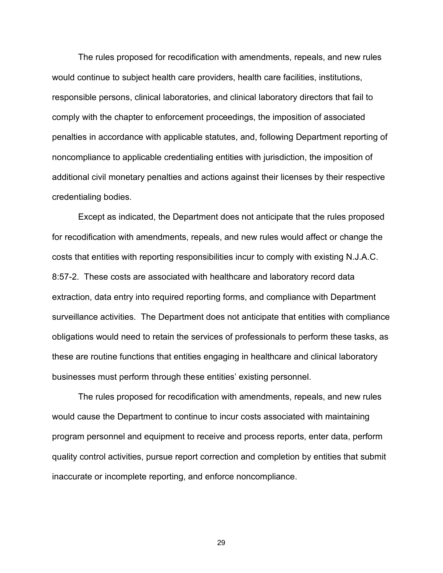The rules proposed for recodification with amendments, repeals, and new rules would continue to subject health care providers, health care facilities, institutions, responsible persons, clinical laboratories, and clinical laboratory directors that fail to comply with the chapter to enforcement proceedings, the imposition of associated penalties in accordance with applicable statutes, and, following Department reporting of noncompliance to applicable credentialing entities with jurisdiction, the imposition of additional civil monetary penalties and actions against their licenses by their respective credentialing bodies.

Except as indicated, the Department does not anticipate that the rules proposed for recodification with amendments, repeals, and new rules would affect or change the costs that entities with reporting responsibilities incur to comply with existing N.J.A.C. 8:57-2. These costs are associated with healthcare and laboratory record data extraction, data entry into required reporting forms, and compliance with Department surveillance activities. The Department does not anticipate that entities with compliance obligations would need to retain the services of professionals to perform these tasks, as these are routine functions that entities engaging in healthcare and clinical laboratory businesses must perform through these entities' existing personnel.

The rules proposed for recodification with amendments, repeals, and new rules would cause the Department to continue to incur costs associated with maintaining program personnel and equipment to receive and process reports, enter data, perform quality control activities, pursue report correction and completion by entities that submit inaccurate or incomplete reporting, and enforce noncompliance.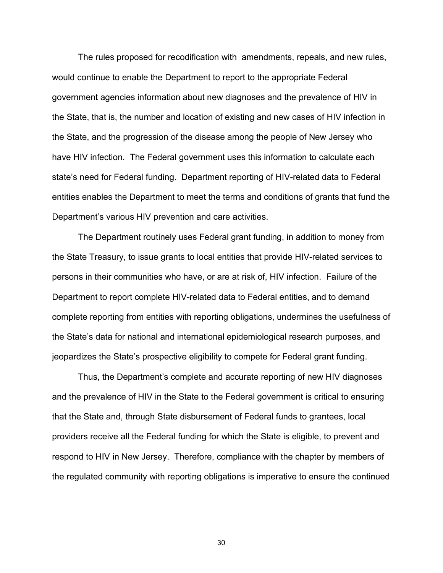The rules proposed for recodification with amendments, repeals, and new rules, would continue to enable the Department to report to the appropriate Federal government agencies information about new diagnoses and the prevalence of HIV in the State, that is, the number and location of existing and new cases of HIV infection in the State, and the progression of the disease among the people of New Jersey who have HIV infection. The Federal government uses this information to calculate each state's need for Federal funding. Department reporting of HIV-related data to Federal entities enables the Department to meet the terms and conditions of grants that fund the Department's various HIV prevention and care activities.

The Department routinely uses Federal grant funding, in addition to money from the State Treasury, to issue grants to local entities that provide HIV-related services to persons in their communities who have, or are at risk of, HIV infection. Failure of the Department to report complete HIV-related data to Federal entities, and to demand complete reporting from entities with reporting obligations, undermines the usefulness of the State's data for national and international epidemiological research purposes, and jeopardizes the State's prospective eligibility to compete for Federal grant funding.

Thus, the Department's complete and accurate reporting of new HIV diagnoses and the prevalence of HIV in the State to the Federal government is critical to ensuring that the State and, through State disbursement of Federal funds to grantees, local providers receive all the Federal funding for which the State is eligible, to prevent and respond to HIV in New Jersey. Therefore, compliance with the chapter by members of the regulated community with reporting obligations is imperative to ensure the continued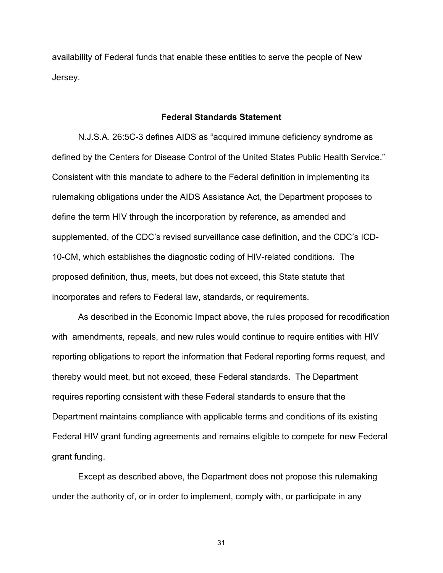availability of Federal funds that enable these entities to serve the people of New Jersey.

## **Federal Standards Statement**

N.J.S.A. 26:5C-3 defines AIDS as "acquired immune deficiency syndrome as defined by the Centers for Disease Control of the United States Public Health Service." Consistent with this mandate to adhere to the Federal definition in implementing its rulemaking obligations under the AIDS Assistance Act, the Department proposes to define the term HIV through the incorporation by reference, as amended and supplemented, of the CDC's revised surveillance case definition, and the CDC's ICD-10-CM, which establishes the diagnostic coding of HIV-related conditions. The proposed definition, thus, meets, but does not exceed, this State statute that incorporates and refers to Federal law, standards, or requirements.

As described in the Economic Impact above, the rules proposed for recodification with amendments, repeals, and new rules would continue to require entities with HIV reporting obligations to report the information that Federal reporting forms request, and thereby would meet, but not exceed, these Federal standards. The Department requires reporting consistent with these Federal standards to ensure that the Department maintains compliance with applicable terms and conditions of its existing Federal HIV grant funding agreements and remains eligible to compete for new Federal grant funding.

Except as described above, the Department does not propose this rulemaking under the authority of, or in order to implement, comply with, or participate in any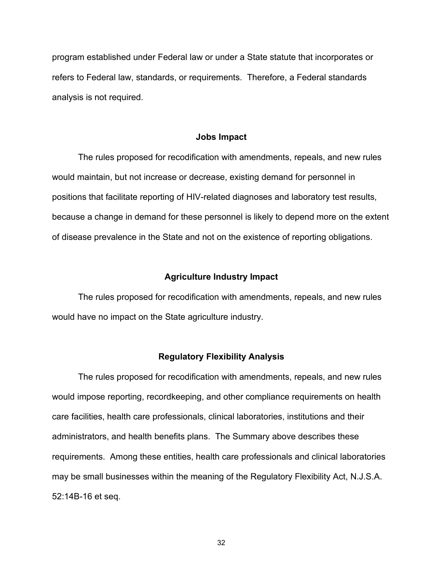program established under Federal law or under a State statute that incorporates or refers to Federal law, standards, or requirements. Therefore, a Federal standards analysis is not required.

#### **Jobs Impact**

The rules proposed for recodification with amendments, repeals, and new rules would maintain, but not increase or decrease, existing demand for personnel in positions that facilitate reporting of HIV-related diagnoses and laboratory test results, because a change in demand for these personnel is likely to depend more on the extent of disease prevalence in the State and not on the existence of reporting obligations.

## **Agriculture Industry Impact**

The rules proposed for recodification with amendments, repeals, and new rules would have no impact on the State agriculture industry.

#### **Regulatory Flexibility Analysis**

The rules proposed for recodification with amendments, repeals, and new rules would impose reporting, recordkeeping, and other compliance requirements on health care facilities, health care professionals, clinical laboratories, institutions and their administrators, and health benefits plans. The Summary above describes these requirements. Among these entities, health care professionals and clinical laboratories may be small businesses within the meaning of the Regulatory Flexibility Act, N.J.S.A. 52:14B-16 et seq.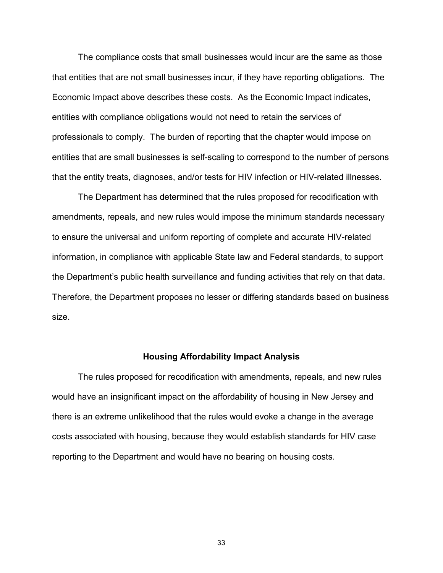The compliance costs that small businesses would incur are the same as those that entities that are not small businesses incur, if they have reporting obligations. The Economic Impact above describes these costs. As the Economic Impact indicates, entities with compliance obligations would not need to retain the services of professionals to comply. The burden of reporting that the chapter would impose on entities that are small businesses is self-scaling to correspond to the number of persons that the entity treats, diagnoses, and/or tests for HIV infection or HIV-related illnesses.

The Department has determined that the rules proposed for recodification with amendments, repeals, and new rules would impose the minimum standards necessary to ensure the universal and uniform reporting of complete and accurate HIV-related information, in compliance with applicable State law and Federal standards, to support the Department's public health surveillance and funding activities that rely on that data. Therefore, the Department proposes no lesser or differing standards based on business size.

### **Housing Affordability Impact Analysis**

The rules proposed for recodification with amendments, repeals, and new rules would have an insignificant impact on the affordability of housing in New Jersey and there is an extreme unlikelihood that the rules would evoke a change in the average costs associated with housing, because they would establish standards for HIV case reporting to the Department and would have no bearing on housing costs.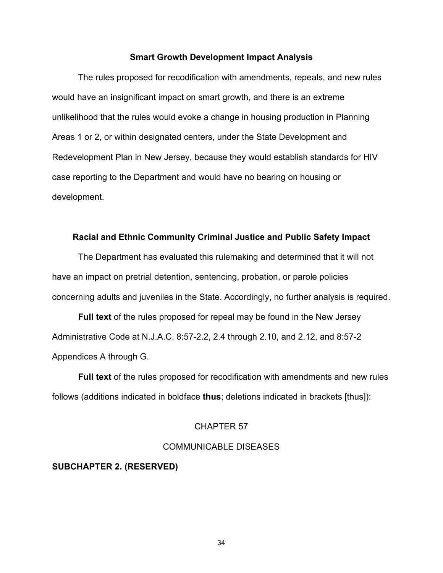## **Smart Growth Development Impact Analysis**

The rules proposed for recodification with amendments, repeals, and new rules would have an insignificant impact on smart growth, and there is an extreme unlikelihood that the rules would evoke a change in housing production in Planning Areas 1 or 2, or within designated centers, under the State Development and Redevelopment Plan in New Jersey, because they would establish standards for HIV case reporting to the Department and would have no bearing on housing or development.

### **Racial and Ethnic Community Criminal Justice and Public Safety Impact**

The Department has evaluated this rulemaking and determined that it will not have an impact on pretrial detention, sentencing, probation, or parole policies concerning adults and juveniles in the State. Accordingly, no further analysis is required.

**Full text** of the rules proposed for repeal may be found in the New Jersey Administrative Code at N.J.A.C. 8:57-2.2, 2.4 through 2.10, and 2.12, and 8:57-2 Appendices A through G.

**Full text** of the rules proposed for recodification with amendments and new rules follows (additions indicated in boldface **thus**; deletions indicated in brackets [thus]):

## CHAPTER 57

# COMMUNICABLE DISEASES

## **SUBCHAPTER 2. (RESERVED)**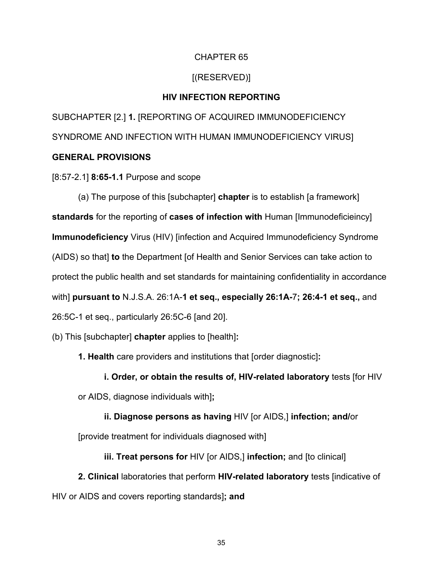# CHAPTER 65

# [(RESERVED)]

## **HIV INFECTION REPORTING**

SUBCHAPTER [2.] **1.** [REPORTING OF ACQUIRED IMMUNODEFICIENCY SYNDROME AND INFECTION WITH HUMAN IMMUNODEFICIENCY VIRUS]

# **GENERAL PROVISIONS**

[8:57-2.1] **8:65-1.1** Purpose and scope

(a) The purpose of this [subchapter] **chapter** is to establish [a framework] **standards** for the reporting of **cases of infection with** Human [Immunodeficieincy] **Immunodeficiency** Virus (HIV) [infection and Acquired Immunodeficiency Syndrome (AIDS) so that] **to** the Department [of Health and Senior Services can take action to protect the public health and set standards for maintaining confidentiality in accordance with] **pursuant to** N.J.S.A. 26:1A-**1 et seq., especially 26:1A-**7**; 26:4-1 et seq.,** and 26:5C-1 et seq., particularly 26:5C-6 [and 20].

- (b) This [subchapter] **chapter** applies to [health]**:**
	- **1. Health** care providers and institutions that [order diagnostic]**:**
		- **i. Order, or obtain the results of, HIV-related laboratory** tests [for HIV
	- or AIDS, diagnose individuals with]**;**
		- **ii. Diagnose persons as having** HIV [or AIDS,] **infection; and/**or
	- [provide treatment for individuals diagnosed with]
		- **iii. Treat persons for** HIV [or AIDS,] **infection;** and [to clinical]
- **2. Clinical** laboratories that perform **HIV-related laboratory** tests [indicative of HIV or AIDS and covers reporting standards]**; and**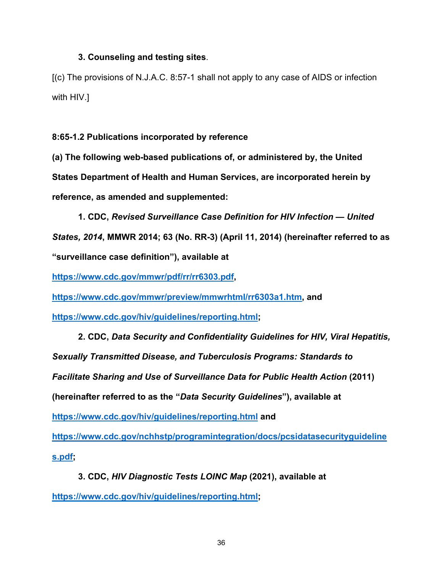## **3. Counseling and testing sites**.

[(c) The provisions of N.J.A.C. 8:57-1 shall not apply to any case of AIDS or infection with HIV.]

**8:65-1.2 Publications incorporated by reference**

**(a) The following web-based publications of, or administered by, the United States Department of Health and Human Services, are incorporated herein by reference, as amended and supplemented:**

**1. CDC,** *Revised Surveillance Case Definition for HIV Infection — United States, 2014***, MMWR 2014; 63 (No. RR-3) (April 11, 2014) (hereinafter referred to as "surveillance case definition"), available at** 

**[https://www.cdc.gov/mmwr/pdf/rr/rr6303.pdf,](https://www.cdc.gov/mmwr/pdf/rr/rr6303.pdf)**

**[https://www.cdc.gov/mmwr/preview/mmwrhtml/rr6303a1.htm,](https://www.cdc.gov/mmwr/preview/mmwrhtml/rr6303a1.htm) and** 

**[https://www.cdc.gov/hiv/guidelines/reporting.html;](https://www.cdc.gov/hiv/guidelines/reporting.html)**

**2. CDC,** *Data Security and Confidentiality Guidelines for HIV, Viral Hepatitis, Sexually Transmitted Disease, and Tuberculosis Programs: Standards to Facilitate Sharing and Use of Surveillance Data for Public Health Action* **(2011) (hereinafter referred to as the "***Data Security Guidelines***"), available at <https://www.cdc.gov/hiv/guidelines/reporting.html> and [https://www.cdc.gov/nchhstp/programintegration/docs/pcsidatasecurityguideline](https://www.cdc.gov/nchhstp/programintegration/docs/pcsidatasecurityguidelines.pdf) [s.pdf;](https://www.cdc.gov/nchhstp/programintegration/docs/pcsidatasecurityguidelines.pdf)**

**3. CDC,** *HIV Diagnostic Tests LOINC Map* **(2021), available at [https://www.cdc.gov/hiv/guidelines/reporting.html;](https://www.cdc.gov/hiv/guidelines/reporting.html)**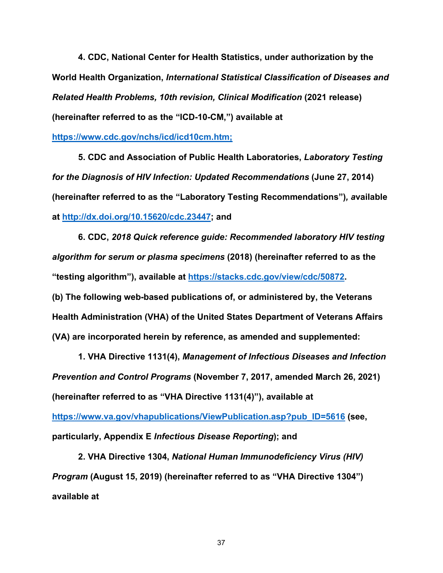**4. CDC, National Center for Health Statistics, under authorization by the World Health Organization,** *International Statistical Classification of Diseases and Related Health Problems, 10th revision, Clinical Modification* **(2021 release) (hereinafter referred to as the "ICD-10-CM,") available at** 

## **[https://www.cdc.gov/nchs/icd/icd10cm.htm;](https://www.cdc.gov/nchs/icd/icd10cm.htm)**

**5. CDC and Association of Public Health Laboratories,** *Laboratory Testing for the Diagnosis of HIV Infection: Updated Recommendations* **(June 27, 2014) (hereinafter referred to as the "Laboratory Testing Recommendations")***, a***vailable at [http://dx.doi.org/10.15620/cdc.23447;](http://dx.doi.org/10.15620/cdc.23447) and**

**6. CDC,** *2018 Quick reference guide: Recommended laboratory HIV testing algorithm for serum or plasma specimens* **(2018) (hereinafter referred to as the "testing algorithm"), available at [https://stacks.cdc.gov/view/cdc/50872.](https://stacks.cdc.gov/view/cdc/50872) (b) The following web-based publications of, or administered by, the Veterans Health Administration (VHA) of the United States Department of Veterans Affairs (VA) are incorporated herein by reference, as amended and supplemented:**

**1. VHA Directive 1131(4),** *Management of Infectious Diseases and Infection Prevention and Control Programs* **(November 7, 2017, amended March 26, 2021) (hereinafter referred to as "VHA Directive 1131(4)"), available at [https://www.va.gov/vhapublications/ViewPublication.asp?pub\\_ID=5616](https://www.va.gov/vhapublications/ViewPublication.asp?pub_ID=5616) (see, particularly, Appendix E** *Infectious Disease Reporting***); and**

**2. VHA Directive 1304,** *National Human Immunodeficiency Virus (HIV) Program* **(August 15, 2019) (hereinafter referred to as "VHA Directive 1304") available at**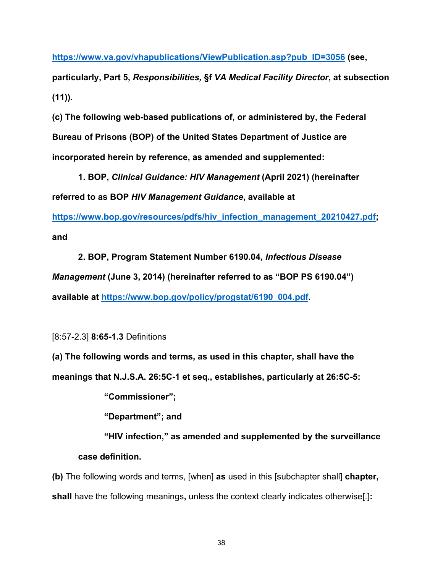**[https://www.va.gov/vhapublications/ViewPublication.asp?pub\\_ID=3056](https://www.va.gov/vhapublications/ViewPublication.asp?pub_ID=3056) (see,**

**particularly, Part 5,** *Responsibilities,* **§f** *VA Medical Facility Director***, at subsection (11)).**

**(c) The following web-based publications of, or administered by, the Federal Bureau of Prisons (BOP) of the United States Department of Justice are incorporated herein by reference, as amended and supplemented:**

**1. BOP,** *Clinical Guidance: HIV Management* **(April 2021) (hereinafter referred to as BOP** *HIV Management Guidance***, available at** 

**[https://www.bop.gov/resources/pdfs/hiv\\_infection\\_management\\_20210427.pdf;](https://www.bop.gov/resources/pdfs/hiv_infection_management_20210427.pdf) and**

**2. BOP, Program Statement Number 6190.04,** *Infectious Disease Management* **(June 3, 2014) (hereinafter referred to as "BOP PS 6190.04") available at [https://www.bop.gov/policy/progstat/6190\\_004.pdf.](https://www.bop.gov/policy/progstat/6190_004.pdf)**

[8:57-2.3] **8:65-1.3** Definitions

**(a) The following words and terms, as used in this chapter, shall have the** 

**meanings that N.J.S.A. 26:5C-1 et seq., establishes, particularly at 26:5C-5:**

**"Commissioner";**

**"Department"; and**

**"HIV infection," as amended and supplemented by the surveillance case definition.**

**(b)** The following words and terms, [when] **as** used in this [subchapter shall] **chapter, shall** have the following meanings**,** unless the context clearly indicates otherwise[.]**:**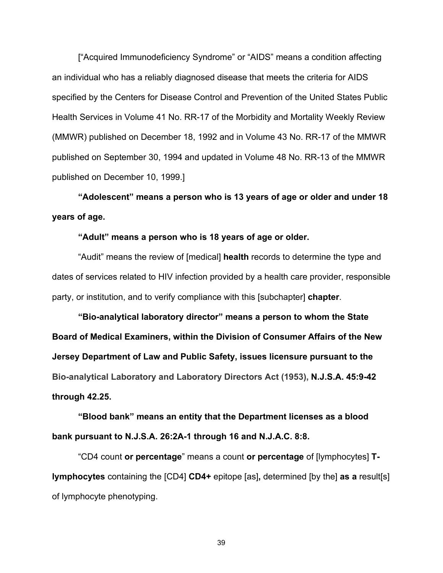["Acquired Immunodeficiency Syndrome" or "AIDS" means a condition affecting an individual who has a reliably diagnosed disease that meets the criteria for AIDS specified by the Centers for Disease Control and Prevention of the United States Public Health Services in Volume 41 No. RR-17 of the Morbidity and Mortality Weekly Review (MMWR) published on December 18, 1992 and in Volume 43 No. RR-17 of the MMWR published on September 30, 1994 and updated in Volume 48 No. RR-13 of the MMWR published on December 10, 1999.]

**"Adolescent" means a person who is 13 years of age or older and under 18 years of age.**

## **"Adult" means a person who is 18 years of age or older.**

"Audit" means the review of [medical] **health** records to determine the type and dates of services related to HIV infection provided by a health care provider, responsible party, or institution, and to verify compliance with this [subchapter] **chapter**.

**"Bio-analytical laboratory director" means a person to whom the State Board of Medical Examiners, within the Division of Consumer Affairs of the New Jersey Department of Law and Public Safety, issues licensure pursuant to the Bio-analytical Laboratory and Laboratory Directors Act (1953), N.J.S.A. 45:9-42 through 42.25.**

**"Blood bank" means an entity that the Department licenses as a blood bank pursuant to N.J.S.A. 26:2A-1 through 16 and N.J.A.C. 8:8.**

"CD4 count **or percentage**" means a count **or percentage** of [lymphocytes] **Tlymphocytes** containing the [CD4] **CD4+** epitope [as]**,** determined [by the] **as a** result[s] of lymphocyte phenotyping.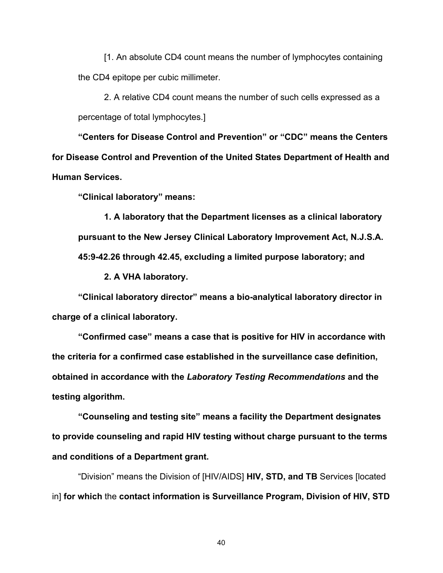[1. An absolute CD4 count means the number of lymphocytes containing the CD4 epitope per cubic millimeter.

2. A relative CD4 count means the number of such cells expressed as a percentage of total lymphocytes.]

**"Centers for Disease Control and Prevention" or "CDC" means the Centers for Disease Control and Prevention of the United States Department of Health and Human Services.**

**"Clinical laboratory" means:**

**1. A laboratory that the Department licenses as a clinical laboratory pursuant to the New Jersey Clinical Laboratory Improvement Act, N.J.S.A. 45:9-42.26 through 42.45, excluding a limited purpose laboratory; and**

**2. A VHA laboratory.**

**"Clinical laboratory director" means a bio-analytical laboratory director in charge of a clinical laboratory.**

**"Confirmed case" means a case that is positive for HIV in accordance with the criteria for a confirmed case established in the surveillance case definition, obtained in accordance with the** *Laboratory Testing Recommendations* **and the testing algorithm.**

**"Counseling and testing site" means a facility the Department designates to provide counseling and rapid HIV testing without charge pursuant to the terms and conditions of a Department grant.**

"Division" means the Division of [HIV/AIDS] **HIV, STD, and TB** Services [located in] **for which** the **contact information is Surveillance Program, Division of HIV, STD**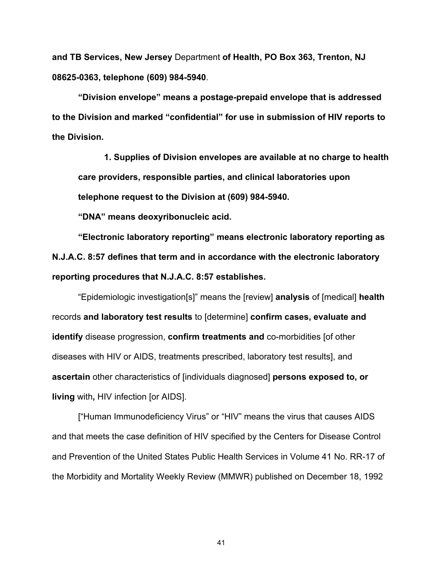**and TB Services, New Jersey** Department **of Health, PO Box 363, Trenton, NJ 08625-0363, telephone (609) 984-5940**.

**"Division envelope" means a postage-prepaid envelope that is addressed to the Division and marked "confidential" for use in submission of HIV reports to the Division.**

**1. Supplies of Division envelopes are available at no charge to health care providers, responsible parties, and clinical laboratories upon telephone request to the Division at (609) 984-5940.**

**"DNA" means deoxyribonucleic acid.**

**"Electronic laboratory reporting" means electronic laboratory reporting as N.J.A.C. 8:57 defines that term and in accordance with the electronic laboratory reporting procedures that N.J.A.C. 8:57 establishes.**

"Epidemiologic investigation[s]" means the [review] **analysis** of [medical] **health** records **and laboratory test results** to [determine] **confirm cases, evaluate and identify** disease progression, **confirm treatments and** co-morbidities [of other diseases with HIV or AIDS, treatments prescribed, laboratory test results], and **ascertain** other characteristics of [individuals diagnosed] **persons exposed to, or living** with**,** HIV infection [or AIDS].

["Human Immunodeficiency Virus" or "HIV" means the virus that causes AIDS and that meets the case definition of HIV specified by the Centers for Disease Control and Prevention of the United States Public Health Services in Volume 41 No. RR-17 of the Morbidity and Mortality Weekly Review (MMWR) published on December 18, 1992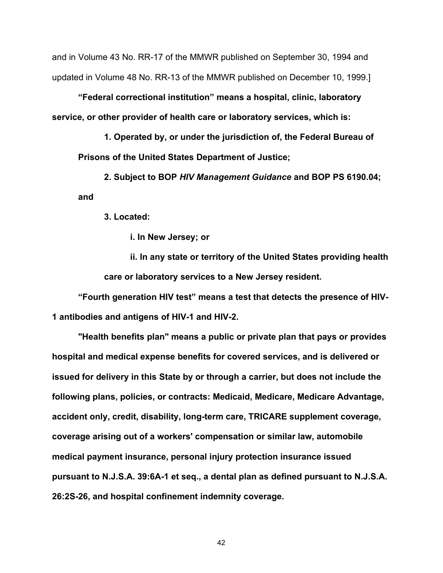and in Volume 43 No. RR-17 of the MMWR published on September 30, 1994 and updated in Volume 48 No. RR-13 of the MMWR published on December 10, 1999.]

**"Federal correctional institution" means a hospital, clinic, laboratory service, or other provider of health care or laboratory services, which is:**

**1. Operated by, or under the jurisdiction of, the Federal Bureau of Prisons of the United States Department of Justice;**

**2. Subject to BOP** *HIV Management Guidance* **and BOP PS 6190.04; and**

**3. Located:**

**i. In New Jersey; or**

**ii. In any state or territory of the United States providing health care or laboratory services to a New Jersey resident.**

**"Fourth generation HIV test" means a test that detects the presence of HIV-1 antibodies and antigens of HIV-1 and HIV-2.**

**"Health benefits plan" means a public or private plan that pays or provides hospital and medical expense benefits for covered services, and is delivered or issued for delivery in this State by or through a carrier, but does not include the following plans, policies, or contracts: Medicaid, Medicare, Medicare Advantage, accident only, credit, disability, long-term care, TRICARE supplement coverage, coverage arising out of a workers' compensation or similar law, automobile medical payment insurance, personal injury protection insurance issued pursuant to N.J.S.A. 39:6A-1 et seq., a dental plan as defined pursuant to N.J.S.A. 26:2S-26, and hospital confinement indemnity coverage.**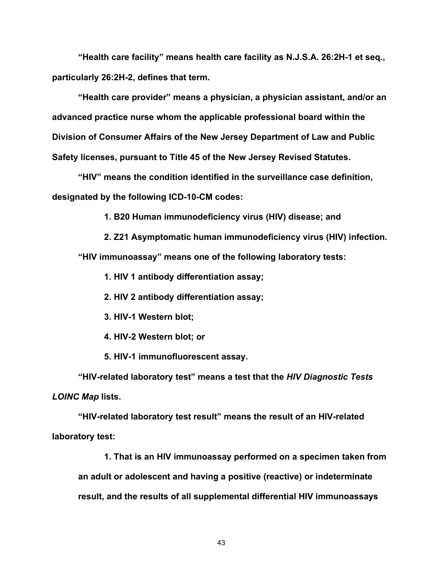**"Health care facility" means health care facility as N.J.S.A. 26:2H-1 et seq., particularly 26:2H-2, defines that term.**

**"Health care provider" means a physician, a physician assistant, and/or an advanced practice nurse whom the applicable professional board within the Division of Consumer Affairs of the New Jersey Department of Law and Public Safety licenses, pursuant to Title 45 of the New Jersey Revised Statutes.**

**"HIV" means the condition identified in the surveillance case definition, designated by the following ICD-10-CM codes:**

**1. B20 Human immunodeficiency virus (HIV) disease; and**

**2. Z21 Asymptomatic human immunodeficiency virus (HIV) infection. "HIV immunoassay" means one of the following laboratory tests:**

**1. HIV 1 antibody differentiation assay;**

**2. HIV 2 antibody differentiation assay;**

**3. HIV-1 Western blot;**

**4. HIV-2 Western blot; or**

**5. HIV-1 immunofluorescent assay.**

**"HIV-related laboratory test" means a test that the** *HIV Diagnostic Tests LOINC Map* **lists.**

**"HIV-related laboratory test result" means the result of an HIV-related laboratory test:**

**1. That is an HIV immunoassay performed on a specimen taken from an adult or adolescent and having a positive (reactive) or indeterminate result, and the results of all supplemental differential HIV immunoassays**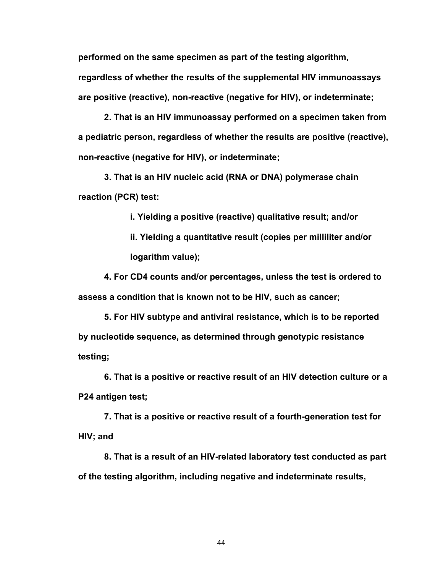**performed on the same specimen as part of the testing algorithm,** 

**regardless of whether the results of the supplemental HIV immunoassays are positive (reactive), non-reactive (negative for HIV), or indeterminate;**

**2. That is an HIV immunoassay performed on a specimen taken from a pediatric person, regardless of whether the results are positive (reactive), non-reactive (negative for HIV), or indeterminate;**

**3. That is an HIV nucleic acid (RNA or DNA) polymerase chain reaction (PCR) test:**

**i. Yielding a positive (reactive) qualitative result; and/or**

**ii. Yielding a quantitative result (copies per milliliter and/or logarithm value);**

**4. For CD4 counts and/or percentages, unless the test is ordered to assess a condition that is known not to be HIV, such as cancer;**

**5. For HIV subtype and antiviral resistance, which is to be reported by nucleotide sequence, as determined through genotypic resistance testing;**

**6. That is a positive or reactive result of an HIV detection culture or a P24 antigen test;**

**7. That is a positive or reactive result of a fourth-generation test for HIV; and**

**8. That is a result of an HIV-related laboratory test conducted as part of the testing algorithm, including negative and indeterminate results,**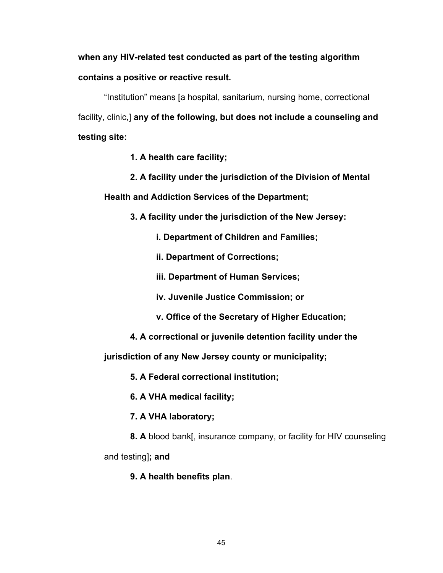# **when any HIV-related test conducted as part of the testing algorithm contains a positive or reactive result.**

"Institution" means [a hospital, sanitarium, nursing home, correctional facility, clinic,] **any of the following, but does not include a counseling and testing site:**

- **1. A health care facility;**
- **2. A facility under the jurisdiction of the Division of Mental**

**Health and Addiction Services of the Department;**

- **3. A facility under the jurisdiction of the New Jersey:**
	- **i. Department of Children and Families;**
	- **ii. Department of Corrections;**
	- **iii. Department of Human Services;**
	- **iv. Juvenile Justice Commission; or**
	- **v. Office of the Secretary of Higher Education;**
- **4. A correctional or juvenile detention facility under the**

**jurisdiction of any New Jersey county or municipality;**

**5. A Federal correctional institution;**

**6. A VHA medical facility;**

- **7. A VHA laboratory;**
- **8. A** blood bank[, insurance company, or facility for HIV counseling

and testing]**; and**

**9. A health benefits plan**.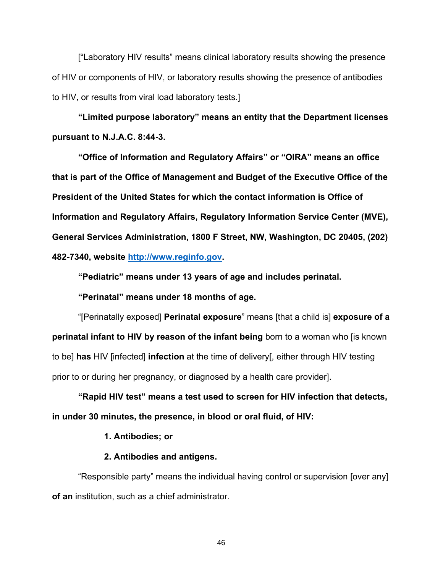["Laboratory HIV results" means clinical laboratory results showing the presence of HIV or components of HIV, or laboratory results showing the presence of antibodies to HIV, or results from viral load laboratory tests.]

**"Limited purpose laboratory" means an entity that the Department licenses pursuant to N.J.A.C. 8:44-3.**

**"Office of Information and Regulatory Affairs" or "OIRA" means an office that is part of the Office of Management and Budget of the Executive Office of the President of the United States for which the contact information is Office of Information and Regulatory Affairs, Regulatory Information Service Center (MVE), General Services Administration, 1800 F Street, NW, Washington, DC 20405, (202) 482-7340, website [http://www.reginfo.gov.](http://www.reginfo.gov/)**

**"Pediatric" means under 13 years of age and includes perinatal.**

**"Perinatal" means under 18 months of age.**

"[Perinatally exposed] **Perinatal exposure**" means [that a child is] **exposure of a perinatal infant to HIV by reason of the infant being** born to a woman who [is known to be] **has** HIV [infected] **infection** at the time of delivery[, either through HIV testing prior to or during her pregnancy, or diagnosed by a health care provider].

**"Rapid HIV test" means a test used to screen for HIV infection that detects, in under 30 minutes, the presence, in blood or oral fluid, of HIV:**

#### **1. Antibodies; or**

### **2. Antibodies and antigens.**

"Responsible party" means the individual having control or supervision [over any] **of an** institution, such as a chief administrator.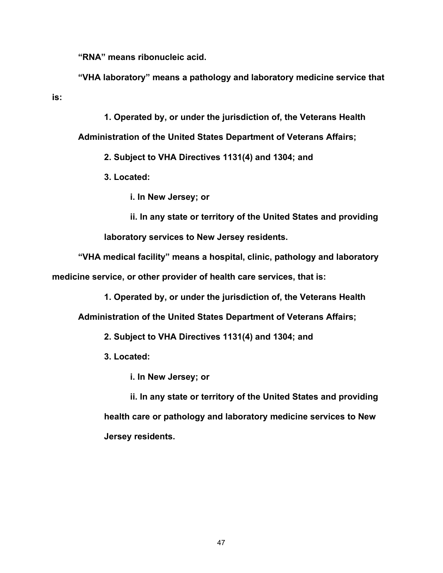**"RNA" means ribonucleic acid.**

**"VHA laboratory" means a pathology and laboratory medicine service that is:**

**1. Operated by, or under the jurisdiction of, the Veterans Health** 

**Administration of the United States Department of Veterans Affairs;**

**2. Subject to VHA Directives 1131(4) and 1304; and**

**3. Located:**

**i. In New Jersey; or**

**ii. In any state or territory of the United States and providing laboratory services to New Jersey residents.**

**"VHA medical facility" means a hospital, clinic, pathology and laboratory medicine service, or other provider of health care services, that is:**

**1. Operated by, or under the jurisdiction of, the Veterans Health** 

**Administration of the United States Department of Veterans Affairs;**

**2. Subject to VHA Directives 1131(4) and 1304; and**

**3. Located:**

**i. In New Jersey; or**

**ii. In any state or territory of the United States and providing health care or pathology and laboratory medicine services to New Jersey residents.**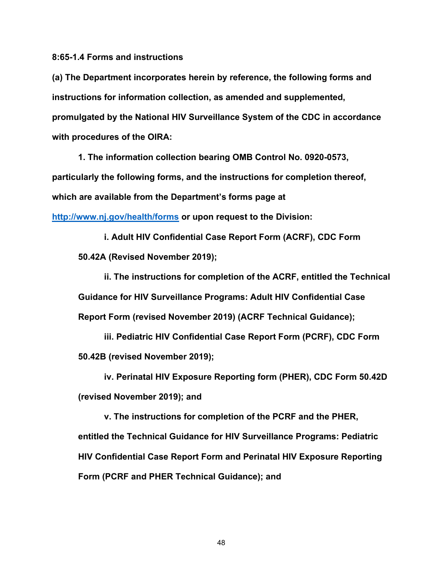**8:65-1.4 Forms and instructions**

**(a) The Department incorporates herein by reference, the following forms and instructions for information collection, as amended and supplemented, promulgated by the National HIV Surveillance System of the CDC in accordance with procedures of the OIRA:**

**1. The information collection bearing OMB Control No. 0920-0573, particularly the following forms, and the instructions for completion thereof, which are available from the Department's forms page at <http://www.nj.gov/health/forms> or upon request to the Division:**

**i. Adult HIV Confidential Case Report Form (ACRF), CDC Form 50.42A (Revised November 2019);**

**ii. The instructions for completion of the ACRF, entitled the Technical Guidance for HIV Surveillance Programs: Adult HIV Confidential Case Report Form (revised November 2019) (ACRF Technical Guidance);**

**iii. Pediatric HIV Confidential Case Report Form (PCRF), CDC Form 50.42B (revised November 2019);**

**iv. Perinatal HIV Exposure Reporting form (PHER), CDC Form 50.42D (revised November 2019); and**

**v. The instructions for completion of the PCRF and the PHER, entitled the Technical Guidance for HIV Surveillance Programs: Pediatric HIV Confidential Case Report Form and Perinatal HIV Exposure Reporting Form (PCRF and PHER Technical Guidance); and**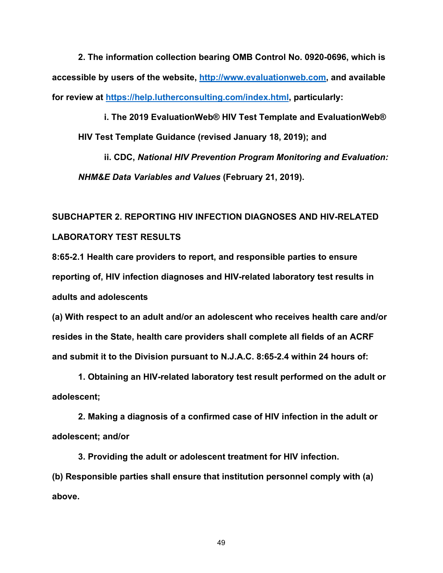**2. The information collection bearing OMB Control No. 0920-0696, which is accessible by users of the website, [http://www.evaluationweb.com,](http://www.evaluationweb.com/) and available for review at [https://help.lutherconsulting.com/index.html,](https://help.lutherconsulting.com/index.html) particularly:**

**i. The 2019 EvaluationWeb® HIV Test Template and EvaluationWeb® HIV Test Template Guidance (revised January 18, 2019); and**

**ii. CDC,** *National HIV Prevention Program Monitoring and Evaluation: NHM&E Data Variables and Values* **(February 21, 2019).**

# **SUBCHAPTER 2. REPORTING HIV INFECTION DIAGNOSES AND HIV-RELATED LABORATORY TEST RESULTS**

**8:65-2.1 Health care providers to report, and responsible parties to ensure reporting of, HIV infection diagnoses and HIV-related laboratory test results in adults and adolescents**

**(a) With respect to an adult and/or an adolescent who receives health care and/or resides in the State, health care providers shall complete all fields of an ACRF and submit it to the Division pursuant to N.J.A.C. 8:65-2.4 within 24 hours of:**

**1. Obtaining an HIV-related laboratory test result performed on the adult or adolescent;**

**2. Making a diagnosis of a confirmed case of HIV infection in the adult or adolescent; and/or**

**3. Providing the adult or adolescent treatment for HIV infection. (b) Responsible parties shall ensure that institution personnel comply with (a) above.**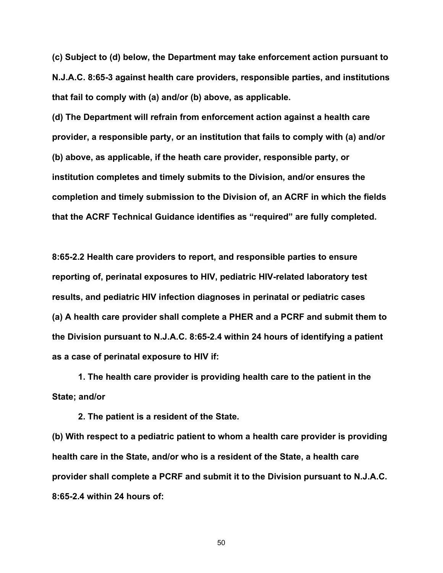**(c) Subject to (d) below, the Department may take enforcement action pursuant to N.J.A.C. 8:65-3 against health care providers, responsible parties, and institutions that fail to comply with (a) and/or (b) above, as applicable.**

**(d) The Department will refrain from enforcement action against a health care provider, a responsible party, or an institution that fails to comply with (a) and/or (b) above, as applicable, if the heath care provider, responsible party, or institution completes and timely submits to the Division, and/or ensures the completion and timely submission to the Division of, an ACRF in which the fields that the ACRF Technical Guidance identifies as "required" are fully completed.**

**8:65-2.2 Health care providers to report, and responsible parties to ensure reporting of, perinatal exposures to HIV, pediatric HIV-related laboratory test results, and pediatric HIV infection diagnoses in perinatal or pediatric cases (a) A health care provider shall complete a PHER and a PCRF and submit them to the Division pursuant to N.J.A.C. 8:65-2.4 within 24 hours of identifying a patient as a case of perinatal exposure to HIV if:**

**1. The health care provider is providing health care to the patient in the State; and/or**

**2. The patient is a resident of the State.**

**(b) With respect to a pediatric patient to whom a health care provider is providing health care in the State, and/or who is a resident of the State, a health care provider shall complete a PCRF and submit it to the Division pursuant to N.J.A.C. 8:65-2.4 within 24 hours of:**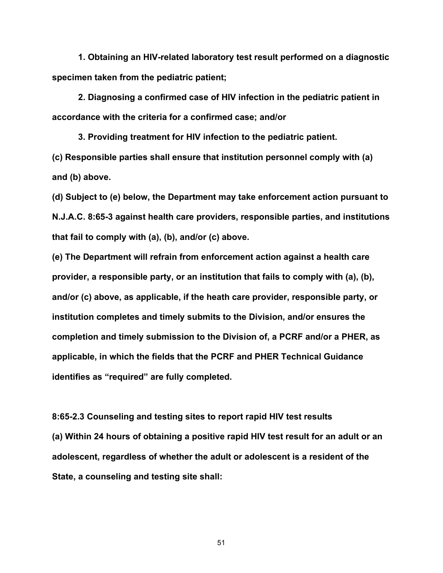**1. Obtaining an HIV-related laboratory test result performed on a diagnostic specimen taken from the pediatric patient;**

**2. Diagnosing a confirmed case of HIV infection in the pediatric patient in accordance with the criteria for a confirmed case; and/or**

**3. Providing treatment for HIV infection to the pediatric patient. (c) Responsible parties shall ensure that institution personnel comply with (a) and (b) above.**

**(d) Subject to (e) below, the Department may take enforcement action pursuant to N.J.A.C. 8:65-3 against health care providers, responsible parties, and institutions that fail to comply with (a), (b), and/or (c) above.**

**(e) The Department will refrain from enforcement action against a health care provider, a responsible party, or an institution that fails to comply with (a), (b), and/or (c) above, as applicable, if the heath care provider, responsible party, or institution completes and timely submits to the Division, and/or ensures the completion and timely submission to the Division of, a PCRF and/or a PHER, as applicable, in which the fields that the PCRF and PHER Technical Guidance identifies as "required" are fully completed.**

**8:65-2.3 Counseling and testing sites to report rapid HIV test results (a) Within 24 hours of obtaining a positive rapid HIV test result for an adult or an adolescent, regardless of whether the adult or adolescent is a resident of the State, a counseling and testing site shall:**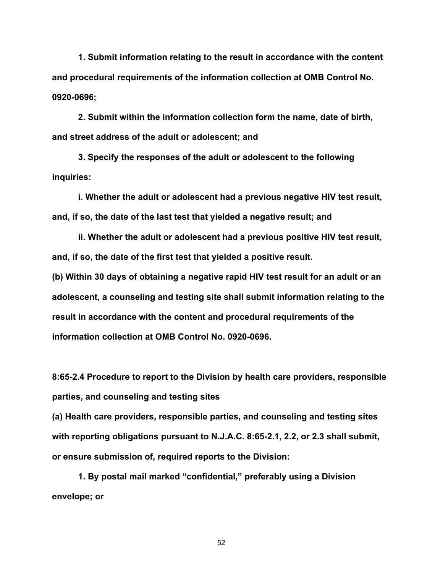**1. Submit information relating to the result in accordance with the content and procedural requirements of the information collection at OMB Control No. 0920-0696;**

**2. Submit within the information collection form the name, date of birth, and street address of the adult or adolescent; and**

**3. Specify the responses of the adult or adolescent to the following inquiries:**

**i. Whether the adult or adolescent had a previous negative HIV test result, and, if so, the date of the last test that yielded a negative result; and**

**ii. Whether the adult or adolescent had a previous positive HIV test result, and, if so, the date of the first test that yielded a positive result.**

**(b) Within 30 days of obtaining a negative rapid HIV test result for an adult or an adolescent, a counseling and testing site shall submit information relating to the result in accordance with the content and procedural requirements of the information collection at OMB Control No. 0920-0696.**

**8:65-2.4 Procedure to report to the Division by health care providers, responsible parties, and counseling and testing sites**

**(a) Health care providers, responsible parties, and counseling and testing sites with reporting obligations pursuant to N.J.A.C. 8:65-2.1, 2.2, or 2.3 shall submit, or ensure submission of, required reports to the Division:**

**1. By postal mail marked "confidential," preferably using a Division envelope; or**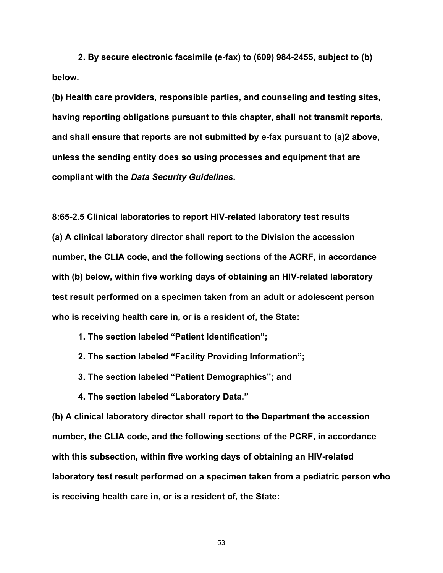**2. By secure electronic facsimile (e-fax) to (609) 984-2455, subject to (b) below.**

**(b) Health care providers, responsible parties, and counseling and testing sites, having reporting obligations pursuant to this chapter, shall not transmit reports, and shall ensure that reports are not submitted by e-fax pursuant to (a)2 above, unless the sending entity does so using processes and equipment that are compliant with the** *Data Security Guidelines***.**

**8:65-2.5 Clinical laboratories to report HIV-related laboratory test results (a) A clinical laboratory director shall report to the Division the accession number, the CLIA code, and the following sections of the ACRF, in accordance with (b) below, within five working days of obtaining an HIV-related laboratory test result performed on a specimen taken from an adult or adolescent person who is receiving health care in, or is a resident of, the State:**

**1. The section labeled "Patient Identification";**

**2. The section labeled "Facility Providing Information";**

**3. The section labeled "Patient Demographics"; and**

**4. The section labeled "Laboratory Data."**

**(b) A clinical laboratory director shall report to the Department the accession number, the CLIA code, and the following sections of the PCRF, in accordance with this subsection, within five working days of obtaining an HIV-related laboratory test result performed on a specimen taken from a pediatric person who is receiving health care in, or is a resident of, the State:**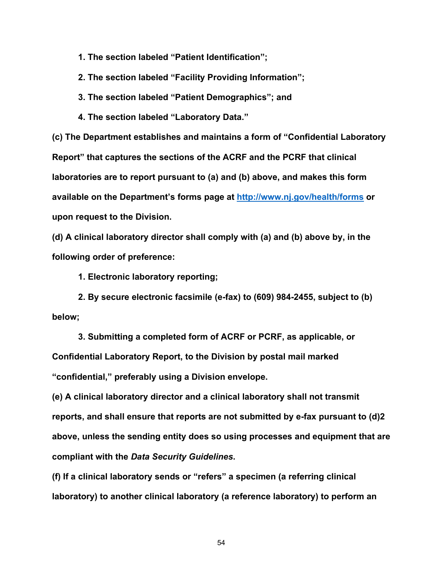**1. The section labeled "Patient Identification";**

**2. The section labeled "Facility Providing Information";**

**3. The section labeled "Patient Demographics"; and**

**4. The section labeled "Laboratory Data."**

**(c) The Department establishes and maintains a form of "Confidential Laboratory Report" that captures the sections of the ACRF and the PCRF that clinical laboratories are to report pursuant to (a) and (b) above, and makes this form available on the Department's forms page at<http://www.nj.gov/health/forms> or upon request to the Division.**

**(d) A clinical laboratory director shall comply with (a) and (b) above by, in the following order of preference:**

**1. Electronic laboratory reporting;**

**2. By secure electronic facsimile (e-fax) to (609) 984-2455, subject to (b) below;**

**3. Submitting a completed form of ACRF or PCRF, as applicable, or Confidential Laboratory Report, to the Division by postal mail marked "confidential," preferably using a Division envelope.**

**(e) A clinical laboratory director and a clinical laboratory shall not transmit reports, and shall ensure that reports are not submitted by e-fax pursuant to (d)2 above, unless the sending entity does so using processes and equipment that are compliant with the** *Data Security Guidelines***.**

**(f) If a clinical laboratory sends or "refers" a specimen (a referring clinical laboratory) to another clinical laboratory (a reference laboratory) to perform an**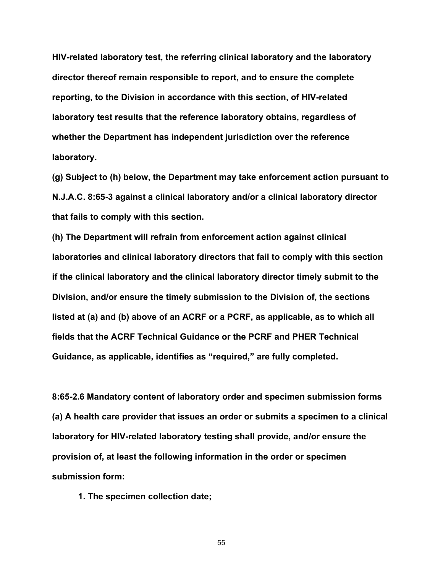**HIV-related laboratory test, the referring clinical laboratory and the laboratory director thereof remain responsible to report, and to ensure the complete reporting, to the Division in accordance with this section, of HIV-related laboratory test results that the reference laboratory obtains, regardless of whether the Department has independent jurisdiction over the reference laboratory.**

**(g) Subject to (h) below, the Department may take enforcement action pursuant to N.J.A.C. 8:65-3 against a clinical laboratory and/or a clinical laboratory director that fails to comply with this section.**

**(h) The Department will refrain from enforcement action against clinical laboratories and clinical laboratory directors that fail to comply with this section if the clinical laboratory and the clinical laboratory director timely submit to the Division, and/or ensure the timely submission to the Division of, the sections listed at (a) and (b) above of an ACRF or a PCRF, as applicable, as to which all fields that the ACRF Technical Guidance or the PCRF and PHER Technical Guidance, as applicable, identifies as "required," are fully completed.**

**8:65-2.6 Mandatory content of laboratory order and specimen submission forms (a) A health care provider that issues an order or submits a specimen to a clinical laboratory for HIV-related laboratory testing shall provide, and/or ensure the provision of, at least the following information in the order or specimen submission form:**

**1. The specimen collection date;**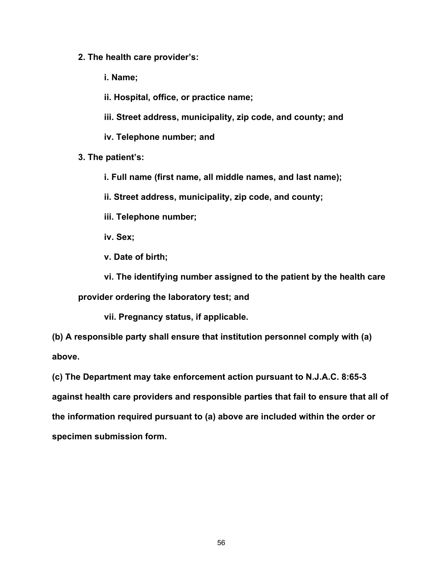- **2. The health care provider's:**
	- **i. Name;**
	- **ii. Hospital, office, or practice name;**
	- **iii. Street address, municipality, zip code, and county; and**
	- **iv. Telephone number; and**
- **3. The patient's:**
	- **i. Full name (first name, all middle names, and last name);**
	- **ii. Street address, municipality, zip code, and county;**
	- **iii. Telephone number;**
	- **iv. Sex;**
	- **v. Date of birth;**
	- **vi. The identifying number assigned to the patient by the health care**

**provider ordering the laboratory test; and**

**vii. Pregnancy status, if applicable.**

**(b) A responsible party shall ensure that institution personnel comply with (a) above.**

**(c) The Department may take enforcement action pursuant to N.J.A.C. 8:65-3 against health care providers and responsible parties that fail to ensure that all of the information required pursuant to (a) above are included within the order or specimen submission form.**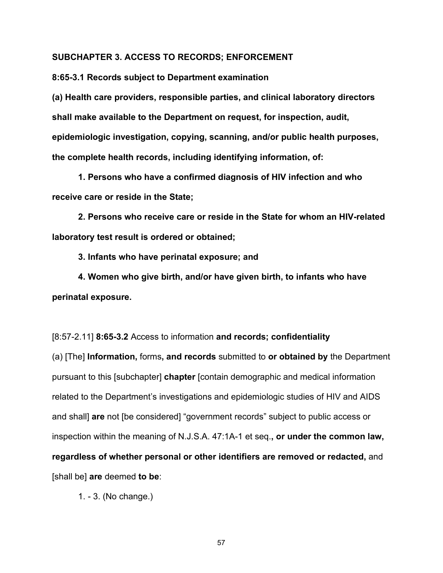#### **SUBCHAPTER 3. ACCESS TO RECORDS; ENFORCEMENT**

**8:65-3.1 Records subject to Department examination**

**(a) Health care providers, responsible parties, and clinical laboratory directors shall make available to the Department on request, for inspection, audit, epidemiologic investigation, copying, scanning, and/or public health purposes, the complete health records, including identifying information, of:**

**1. Persons who have a confirmed diagnosis of HIV infection and who receive care or reside in the State;**

**2. Persons who receive care or reside in the State for whom an HIV-related laboratory test result is ordered or obtained;**

**3. Infants who have perinatal exposure; and**

**4. Women who give birth, and/or have given birth, to infants who have perinatal exposure.**

[8:57-2.11] **8:65-3.2** Access to information **and records; confidentiality**

(a) [The] **Information,** forms**, and records** submitted to **or obtained by** the Department pursuant to this [subchapter] **chapter** [contain demographic and medical information related to the Department's investigations and epidemiologic studies of HIV and AIDS and shall] **are** not [be considered] "government records" subject to public access or inspection within the meaning of N.J.S.A. 47:1A-1 et seq.**, or under the common law, regardless of whether personal or other identifiers are removed or redacted,** and [shall be] **are** deemed **to be**:

1. - 3. (No change.)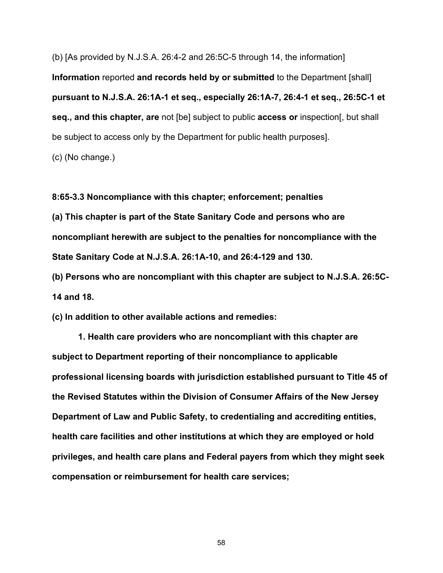(b) [As provided by N.J.S.A. 26:4-2 and 26:5C-5 through 14, the information] **Information** reported **and records held by or submitted** to the Department [shall] **pursuant to N.J.S.A. 26:1A-1 et seq., especially 26:1A-7, 26:4-1 et seq., 26:5C-1 et seq., and this chapter, are** not [be] subject to public **access or** inspection[, but shall be subject to access only by the Department for public health purposes].

(c) (No change.)

**8:65-3.3 Noncompliance with this chapter; enforcement; penalties (a) This chapter is part of the State Sanitary Code and persons who are noncompliant herewith are subject to the penalties for noncompliance with the State Sanitary Code at N.J.S.A. 26:1A-10, and 26:4-129 and 130.**

**(b) Persons who are noncompliant with this chapter are subject to N.J.S.A. 26:5C-14 and 18.**

**(c) In addition to other available actions and remedies:**

**1. Health care providers who are noncompliant with this chapter are subject to Department reporting of their noncompliance to applicable professional licensing boards with jurisdiction established pursuant to Title 45 of the Revised Statutes within the Division of Consumer Affairs of the New Jersey Department of Law and Public Safety, to credentialing and accrediting entities, health care facilities and other institutions at which they are employed or hold privileges, and health care plans and Federal payers from which they might seek compensation or reimbursement for health care services;**